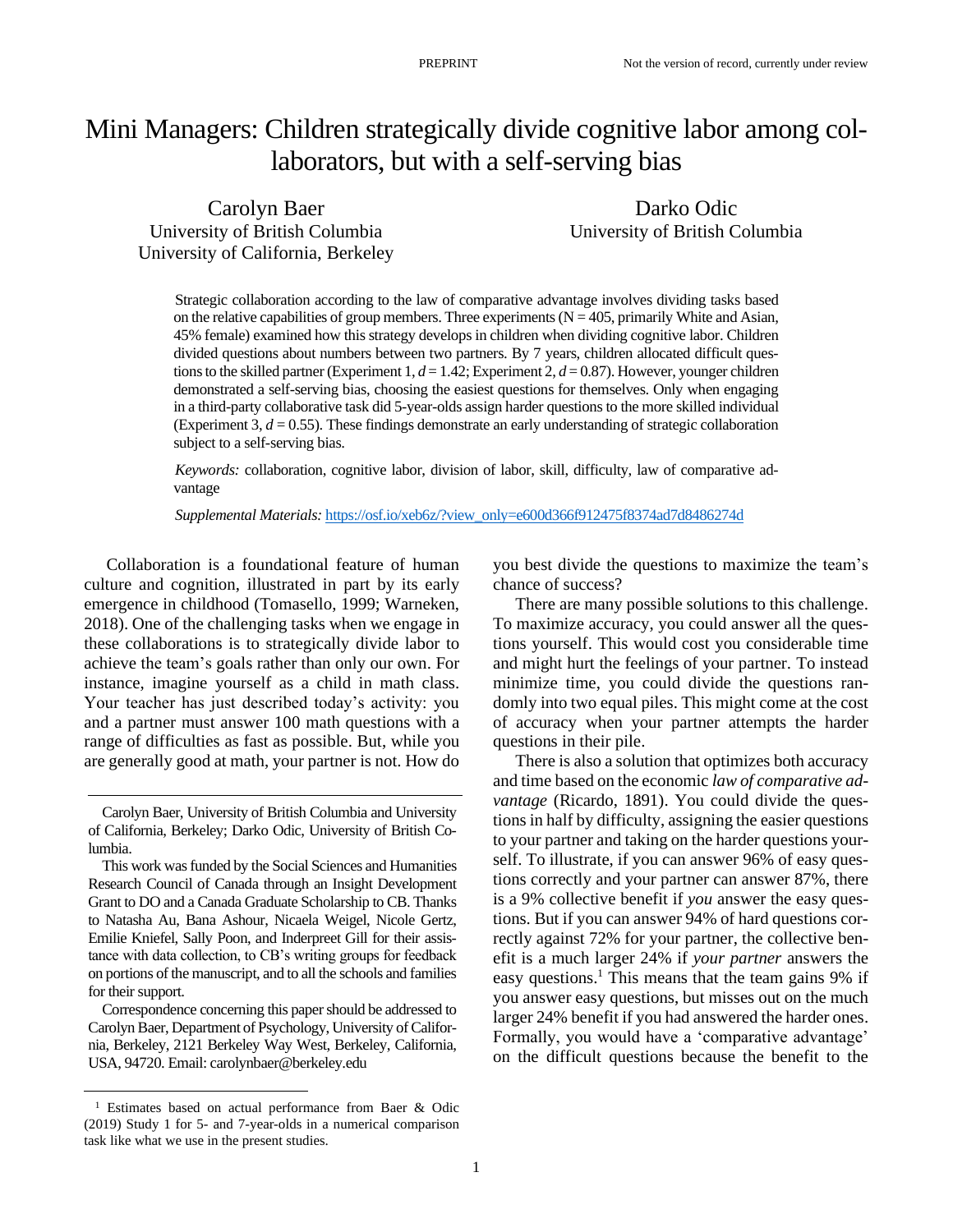# Mini Managers: Children strategically divide cognitive labor among collaborators, but with a self-serving bias

Carolyn Baer University of British Columbia University of California, Berkeley

Darko Odic University of British Columbia

Strategic collaboration according to the law of comparative advantage involves dividing tasks based on the relative capabilities of group members. Three experiments  $(N = 405$ , primarily White and Asian, 45% female) examined how this strategy develops in children when dividing cognitive labor. Children divided questions about numbers between two partners. By 7 years, children allocated difficult questions to the skilled partner (Experiment 1,  $d = 1.42$ ; Experiment 2,  $d = 0.87$ ). However, younger children demonstrated a self-serving bias, choosing the easiest questions for themselves. Only when engaging in a third-party collaborative task did 5-year-olds assign harder questions to the more skilled individual (Experiment 3,  $d = 0.55$ ). These findings demonstrate an early understanding of strategic collaboration subject to a self-serving bias.

*Keywords:* collaboration, cognitive labor, division of labor, skill, difficulty, law of comparative advantage

*Supplemental Materials:* [https://osf.io/xeb6z/?view\\_only=e600d366f912475f8374ad7d8486274d](https://osf.io/xeb6z/?view_only=e600d366f912475f8374ad7d8486274d)

Collaboration is a foundational feature of human culture and cognition, illustrated in part by its early emergence in childhood (Tomasello, 1999; Warneken, 2018). One of the challenging tasks when we engage in these collaborations is to strategically divide labor to achieve the team's goals rather than only our own. For instance, imagine yourself as a child in math class. Your teacher has just described today's activity: you and a partner must answer 100 math questions with a range of difficulties as fast as possible. But, while you are generally good at math, your partner is not. How do

Correspondence concerning this papershould be addressed to Carolyn Baer, Department of Psychology, University of California, Berkeley, 2121 Berkeley Way West, Berkeley, California, USA, 94720. Email: carolynbaer@berkeley.edu

you best divide the questions to maximize the team's chance of success?

There are many possible solutions to this challenge. To maximize accuracy, you could answer all the questions yourself. This would cost you considerable time and might hurt the feelings of your partner. To instead minimize time, you could divide the questions randomly into two equal piles. This might come at the cost of accuracy when your partner attempts the harder questions in their pile.

There is also a solution that optimizes both accuracy and time based on the economic *law of comparative advantage* (Ricardo, 1891). You could divide the questions in half by difficulty, assigning the easier questions to your partner and taking on the harder questions yourself. To illustrate, if you can answer 96% of easy questions correctly and your partner can answer 87%, there is a 9% collective benefit if *you* answer the easy questions. But if you can answer 94% of hard questions correctly against 72% for your partner, the collective benefit is a much larger 24% if *your partner* answers the easy questions.<sup>1</sup> This means that the team gains 9% if you answer easy questions, but misses out on the much larger 24% benefit if you had answered the harder ones. Formally, you would have a 'comparative advantage' on the difficult questions because the benefit to the

Carolyn Baer, University of British Columbia and University of California, Berkeley; Darko Odic, University of British Columbia.

This work was funded by the Social Sciences and Humanities Research Council of Canada through an Insight Development Grant to DO and a Canada Graduate Scholarship to CB. Thanks to Natasha Au, Bana Ashour, Nicaela Weigel, Nicole Gertz, Emilie Kniefel, Sally Poon, and Inderpreet Gill for their assistance with data collection, to CB's writing groups for feedback on portions of the manuscript, and to all the schools and families for their support.

<sup>1</sup> Estimates based on actual performance from Baer & Odic (2019) Study 1 for 5- and 7-year-olds in a numerical comparison task like what we use in the present studies.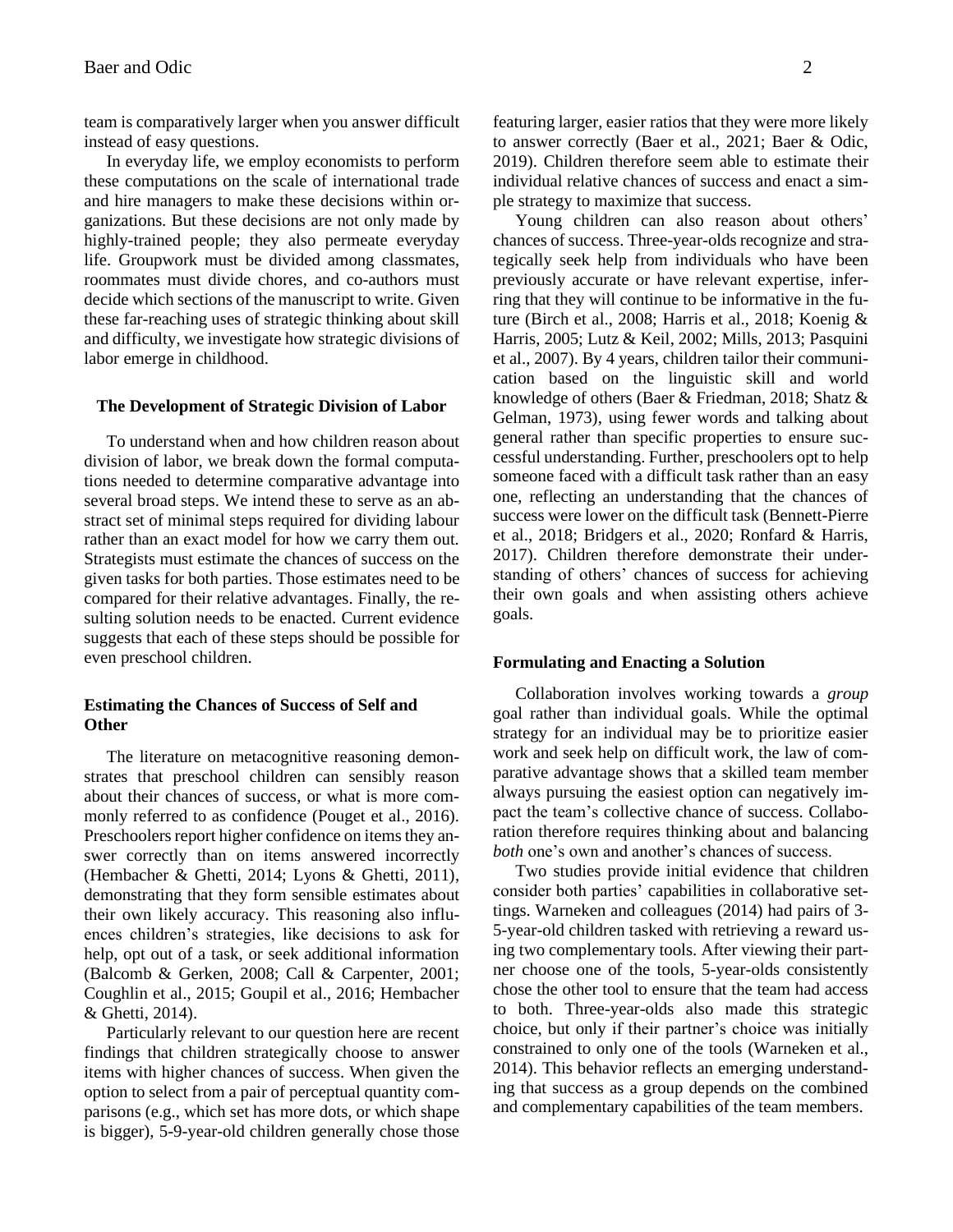team is comparatively larger when you answer difficult instead of easy questions.

In everyday life, we employ economists to perform these computations on the scale of international trade and hire managers to make these decisions within organizations. But these decisions are not only made by highly-trained people; they also permeate everyday life. Groupwork must be divided among classmates, roommates must divide chores, and co-authors must decide which sections of the manuscript to write. Given these far-reaching uses of strategic thinking about skill and difficulty, we investigate how strategic divisions of labor emerge in childhood.

#### **The Development of Strategic Division of Labor**

To understand when and how children reason about division of labor, we break down the formal computations needed to determine comparative advantage into several broad steps. We intend these to serve as an abstract set of minimal steps required for dividing labour rather than an exact model for how we carry them out. Strategists must estimate the chances of success on the given tasks for both parties. Those estimates need to be compared for their relative advantages. Finally, the resulting solution needs to be enacted. Current evidence suggests that each of these steps should be possible for even preschool children.

# **Estimating the Chances of Success of Self and Other**

The literature on metacognitive reasoning demonstrates that preschool children can sensibly reason about their chances of success, or what is more commonly referred to as confidence (Pouget et al., 2016). Preschoolers report higher confidence on items they answer correctly than on items answered incorrectly (Hembacher & Ghetti, 2014; Lyons & Ghetti, 2011), demonstrating that they form sensible estimates about their own likely accuracy. This reasoning also influences children's strategies, like decisions to ask for help, opt out of a task, or seek additional information (Balcomb & Gerken, 2008; Call & Carpenter, 2001; Coughlin et al., 2015; Goupil et al., 2016; Hembacher & Ghetti, 2014).

Particularly relevant to our question here are recent findings that children strategically choose to answer items with higher chances of success. When given the option to select from a pair of perceptual quantity comparisons (e.g., which set has more dots, or which shape is bigger), 5-9-year-old children generally chose those featuring larger, easier ratios that they were more likely to answer correctly (Baer et al., 2021; Baer & Odic, 2019). Children therefore seem able to estimate their individual relative chances of success and enact a simple strategy to maximize that success.

Young children can also reason about others' chances of success. Three-year-olds recognize and strategically seek help from individuals who have been previously accurate or have relevant expertise, inferring that they will continue to be informative in the future (Birch et al., 2008; Harris et al., 2018; Koenig & Harris, 2005; Lutz & Keil, 2002; Mills, 2013; Pasquini et al., 2007). By 4 years, children tailor their communication based on the linguistic skill and world knowledge of others (Baer & Friedman, 2018; Shatz & Gelman, 1973), using fewer words and talking about general rather than specific properties to ensure successful understanding. Further, preschoolers opt to help someone faced with a difficult task rather than an easy one, reflecting an understanding that the chances of success were lower on the difficult task (Bennett-Pierre et al., 2018; Bridgers et al., 2020; Ronfard & Harris, 2017). Children therefore demonstrate their understanding of others' chances of success for achieving their own goals and when assisting others achieve goals.

## **Formulating and Enacting a Solution**

Collaboration involves working towards a *group* goal rather than individual goals. While the optimal strategy for an individual may be to prioritize easier work and seek help on difficult work, the law of comparative advantage shows that a skilled team member always pursuing the easiest option can negatively impact the team's collective chance of success. Collaboration therefore requires thinking about and balancing *both* one's own and another's chances of success.

Two studies provide initial evidence that children consider both parties' capabilities in collaborative settings. Warneken and colleagues (2014) had pairs of 3- 5-year-old children tasked with retrieving a reward using two complementary tools. After viewing their partner choose one of the tools, 5-year-olds consistently chose the other tool to ensure that the team had access to both. Three-year-olds also made this strategic choice, but only if their partner's choice was initially constrained to only one of the tools (Warneken et al., 2014). This behavior reflects an emerging understanding that success as a group depends on the combined and complementary capabilities of the team members.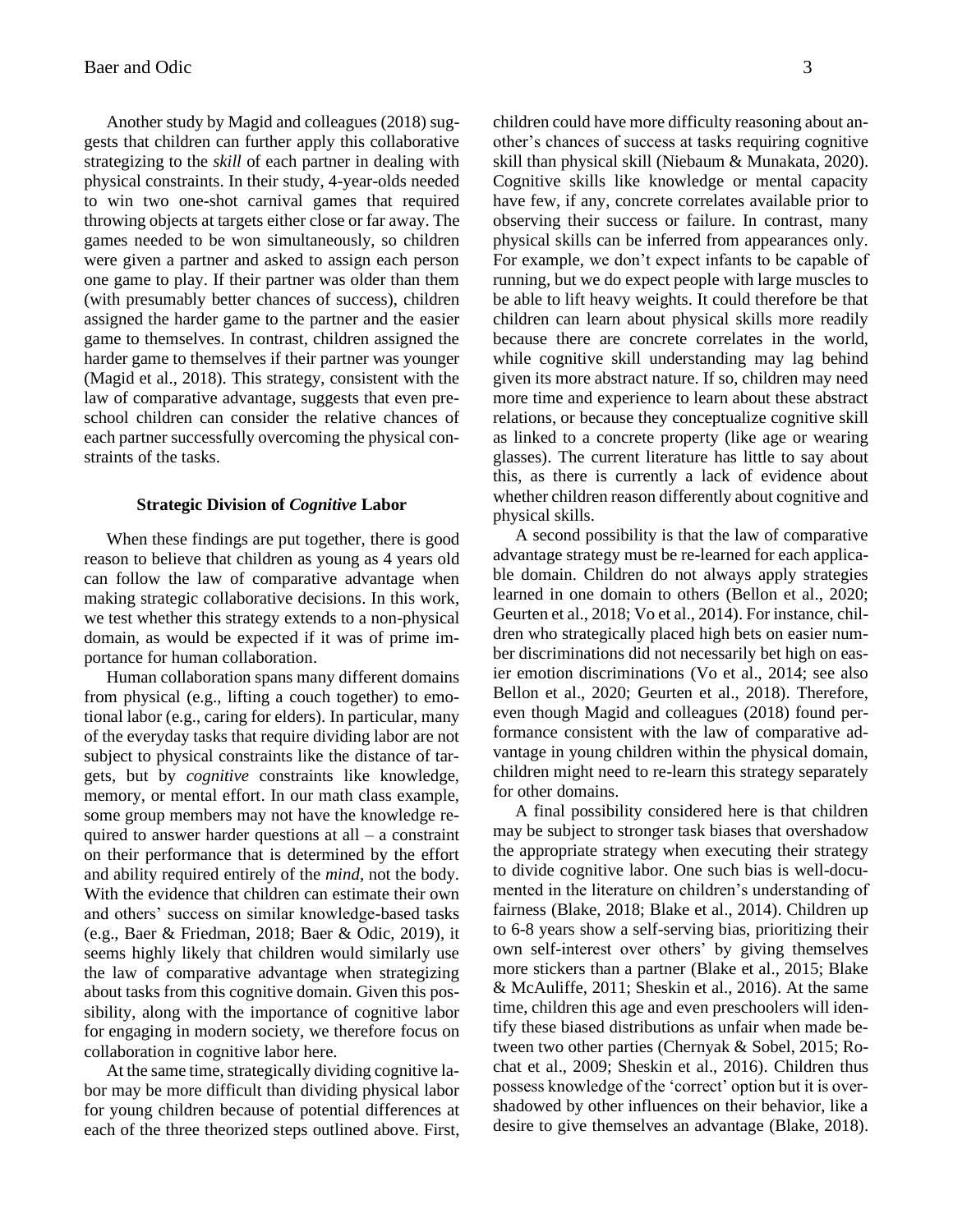Another study by Magid and colleagues (2018) suggests that children can further apply this collaborative strategizing to the *skill* of each partner in dealing with physical constraints. In their study, 4-year-olds needed to win two one-shot carnival games that required throwing objects at targets either close or far away. The games needed to be won simultaneously, so children were given a partner and asked to assign each person one game to play. If their partner was older than them (with presumably better chances of success), children assigned the harder game to the partner and the easier game to themselves. In contrast, children assigned the harder game to themselves if their partner was younger (Magid et al., 2018). This strategy, consistent with the law of comparative advantage, suggests that even preschool children can consider the relative chances of each partner successfully overcoming the physical constraints of the tasks.

# **Strategic Division of** *Cognitive* **Labor**

When these findings are put together, there is good reason to believe that children as young as 4 years old can follow the law of comparative advantage when making strategic collaborative decisions. In this work, we test whether this strategy extends to a non-physical domain, as would be expected if it was of prime importance for human collaboration.

Human collaboration spans many different domains from physical (e.g., lifting a couch together) to emotional labor (e.g., caring for elders). In particular, many of the everyday tasks that require dividing labor are not subject to physical constraints like the distance of targets, but by *cognitive* constraints like knowledge, memory, or mental effort. In our math class example, some group members may not have the knowledge required to answer harder questions at all  $-$  a constraint on their performance that is determined by the effort and ability required entirely of the *mind*, not the body. With the evidence that children can estimate their own and others' success on similar knowledge-based tasks (e.g., Baer & Friedman, 2018; Baer & Odic, 2019), it seems highly likely that children would similarly use the law of comparative advantage when strategizing about tasks from this cognitive domain. Given this possibility, along with the importance of cognitive labor for engaging in modern society, we therefore focus on collaboration in cognitive labor here.

At the same time, strategically dividing cognitive labor may be more difficult than dividing physical labor for young children because of potential differences at each of the three theorized steps outlined above. First, children could have more difficulty reasoning about another's chances of success at tasks requiring cognitive skill than physical skill (Niebaum & Munakata, 2020). Cognitive skills like knowledge or mental capacity have few, if any, concrete correlates available prior to observing their success or failure. In contrast, many physical skills can be inferred from appearances only. For example, we don't expect infants to be capable of running, but we do expect people with large muscles to be able to lift heavy weights. It could therefore be that children can learn about physical skills more readily because there are concrete correlates in the world, while cognitive skill understanding may lag behind given its more abstract nature. If so, children may need more time and experience to learn about these abstract relations, or because they conceptualize cognitive skill as linked to a concrete property (like age or wearing glasses). The current literature has little to say about this, as there is currently a lack of evidence about whether children reason differently about cognitive and physical skills.

A second possibility is that the law of comparative advantage strategy must be re-learned for each applicable domain. Children do not always apply strategies learned in one domain to others (Bellon et al., 2020; Geurten et al., 2018; Vo et al., 2014). For instance, children who strategically placed high bets on easier number discriminations did not necessarily bet high on easier emotion discriminations (Vo et al., 2014; see also Bellon et al., 2020; Geurten et al., 2018). Therefore, even though Magid and colleagues (2018) found performance consistent with the law of comparative advantage in young children within the physical domain, children might need to re-learn this strategy separately for other domains.

A final possibility considered here is that children may be subject to stronger task biases that overshadow the appropriate strategy when executing their strategy to divide cognitive labor. One such bias is well-documented in the literature on children's understanding of fairness (Blake, 2018; Blake et al., 2014). Children up to 6-8 years show a self-serving bias, prioritizing their own self-interest over others' by giving themselves more stickers than a partner (Blake et al., 2015; Blake & McAuliffe, 2011; Sheskin et al., 2016). At the same time, children this age and even preschoolers will identify these biased distributions as unfair when made between two other parties (Chernyak & Sobel, 2015; Rochat et al., 2009; Sheskin et al., 2016). Children thus possess knowledge of the 'correct' option but it is overshadowed by other influences on their behavior, like a desire to give themselves an advantage (Blake, 2018).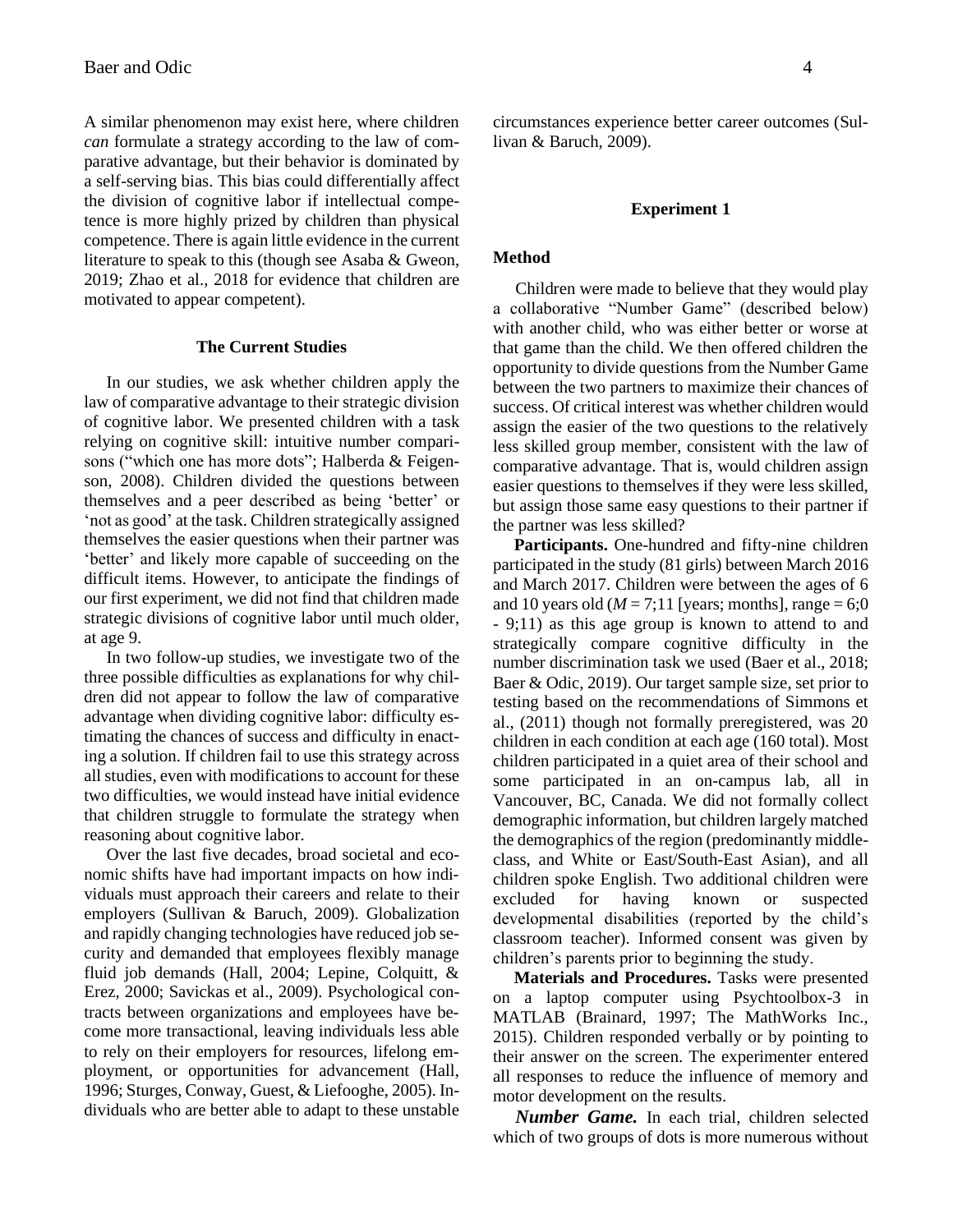A similar phenomenon may exist here, where children *can* formulate a strategy according to the law of comparative advantage, but their behavior is dominated by a self-serving bias. This bias could differentially affect the division of cognitive labor if intellectual competence is more highly prized by children than physical competence. There is again little evidence in the current literature to speak to this (though see Asaba & Gweon, 2019; Zhao et al., 2018 for evidence that children are motivated to appear competent).

## **The Current Studies**

In our studies, we ask whether children apply the law of comparative advantage to their strategic division of cognitive labor. We presented children with a task relying on cognitive skill: intuitive number comparisons ("which one has more dots"; Halberda & Feigenson, 2008). Children divided the questions between themselves and a peer described as being 'better' or 'not as good' at the task. Children strategically assigned themselves the easier questions when their partner was 'better' and likely more capable of succeeding on the difficult items. However, to anticipate the findings of our first experiment, we did not find that children made strategic divisions of cognitive labor until much older, at age 9.

In two follow-up studies, we investigate two of the three possible difficulties as explanations for why children did not appear to follow the law of comparative advantage when dividing cognitive labor: difficulty estimating the chances of success and difficulty in enacting a solution. If children fail to use this strategy across all studies, even with modifications to account for these two difficulties, we would instead have initial evidence that children struggle to formulate the strategy when reasoning about cognitive labor.

Over the last five decades, broad societal and economic shifts have had important impacts on how individuals must approach their careers and relate to their employers (Sullivan & Baruch, 2009). Globalization and rapidly changing technologies have reduced job security and demanded that employees flexibly manage fluid job demands (Hall, 2004; Lepine, Colquitt, & Erez, 2000; Savickas et al., 2009). Psychological contracts between organizations and employees have become more transactional, leaving individuals less able to rely on their employers for resources, lifelong employment, or opportunities for advancement (Hall, 1996; Sturges, Conway, Guest, & Liefooghe, 2005). Individuals who are better able to adapt to these unstable circumstances experience better career outcomes (Sullivan & Baruch, 2009).

#### **Experiment 1**

#### **Method**

Children were made to believe that they would play a collaborative "Number Game" (described below) with another child, who was either better or worse at that game than the child. We then offered children the opportunity to divide questions from the Number Game between the two partners to maximize their chances of success. Of critical interest was whether children would assign the easier of the two questions to the relatively less skilled group member, consistent with the law of comparative advantage. That is, would children assign easier questions to themselves if they were less skilled, but assign those same easy questions to their partner if the partner was less skilled?

**Participants.** One-hundred and fifty-nine children participated in the study (81 girls) between March 2016 and March 2017. Children were between the ages of 6 and 10 years old ( $M = 7;11$  [years; months], range = 6;0 - 9;11) as this age group is known to attend to and strategically compare cognitive difficulty in the number discrimination task we used (Baer et al., 2018; Baer & Odic, 2019). Our target sample size, set prior to testing based on the recommendations of Simmons et al., (2011) though not formally preregistered, was 20 children in each condition at each age (160 total). Most children participated in a quiet area of their school and some participated in an on-campus lab, all in Vancouver, BC, Canada. We did not formally collect demographic information, but children largely matched the demographics of the region (predominantly middleclass, and White or East/South-East Asian), and all children spoke English. Two additional children were excluded for having known or suspected developmental disabilities (reported by the child's classroom teacher). Informed consent was given by children's parents prior to beginning the study.

**Materials and Procedures.** Tasks were presented on a laptop computer using Psychtoolbox-3 in MATLAB (Brainard, 1997; The MathWorks Inc., 2015). Children responded verbally or by pointing to their answer on the screen. The experimenter entered all responses to reduce the influence of memory and motor development on the results.

*Number Game.* In each trial, children selected which of two groups of dots is more numerous without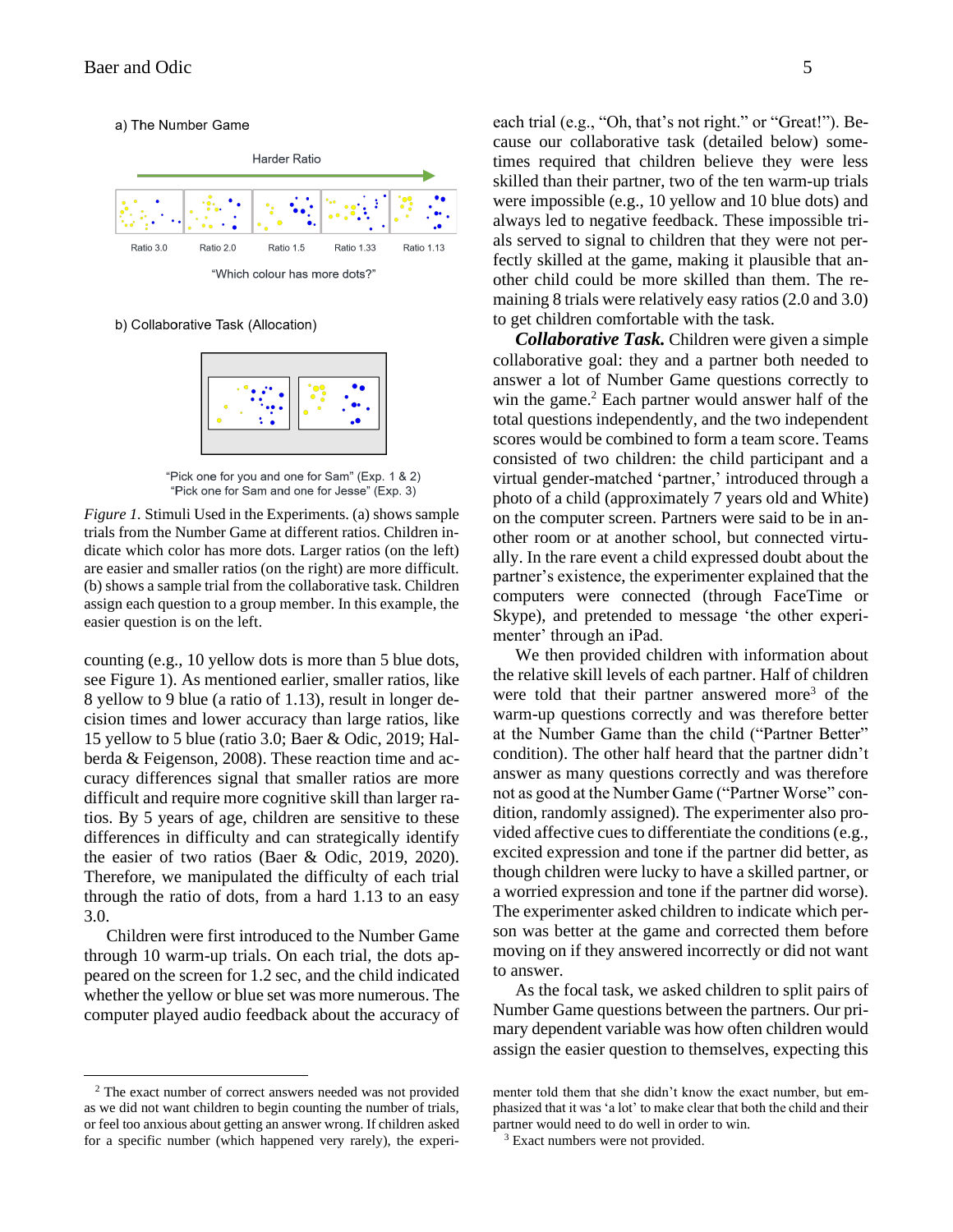a) The Number Game



b) Collaborative Task (Allocation)



"Pick one for you and one for Sam" (Exp. 1 & 2) "Pick one for Sam and one for Jesse" (Exp. 3)

*Figure 1.* Stimuli Used in the Experiments. (a) shows sample trials from the Number Game at different ratios. Children indicate which color has more dots. Larger ratios (on the left) are easier and smaller ratios (on the right) are more difficult. (b) shows a sample trial from the collaborative task. Children assign each question to a group member. In this example, the easier question is on the left.

counting (e.g., 10 yellow dots is more than 5 blue dots, see Figure 1). As mentioned earlier, smaller ratios, like 8 yellow to 9 blue (a ratio of 1.13), result in longer decision times and lower accuracy than large ratios, like 15 yellow to 5 blue (ratio 3.0; Baer & Odic, 2019; Halberda & Feigenson, 2008). These reaction time and accuracy differences signal that smaller ratios are more difficult and require more cognitive skill than larger ratios. By 5 years of age, children are sensitive to these differences in difficulty and can strategically identify the easier of two ratios (Baer & Odic, 2019, 2020). Therefore, we manipulated the difficulty of each trial through the ratio of dots, from a hard 1.13 to an easy 3.0.

Children were first introduced to the Number Game through 10 warm-up trials. On each trial, the dots appeared on the screen for 1.2 sec, and the child indicated whether the yellow or blue set was more numerous. The computer played audio feedback about the accuracy of each trial (e.g., "Oh, that's not right." or "Great!"). Because our collaborative task (detailed below) sometimes required that children believe they were less skilled than their partner, two of the ten warm-up trials were impossible (e.g., 10 yellow and 10 blue dots) and always led to negative feedback. These impossible tri-

als served to signal to children that they were not perfectly skilled at the game, making it plausible that another child could be more skilled than them. The remaining 8 trials were relatively easy ratios (2.0 and 3.0) to get children comfortable with the task.

*Collaborative Task.* Children were given a simple collaborative goal: they and a partner both needed to answer a lot of Number Game questions correctly to win the game. <sup>2</sup> Each partner would answer half of the total questions independently, and the two independent scores would be combined to form a team score. Teams consisted of two children: the child participant and a virtual gender-matched 'partner,' introduced through a photo of a child (approximately 7 years old and White) on the computer screen. Partners were said to be in another room or at another school, but connected virtually. In the rare event a child expressed doubt about the partner's existence, the experimenter explained that the computers were connected (through FaceTime or Skype), and pretended to message 'the other experimenter' through an iPad.

We then provided children with information about the relative skill levels of each partner. Half of children were told that their partner answered more<sup>3</sup> of the warm-up questions correctly and was therefore better at the Number Game than the child ("Partner Better" condition). The other half heard that the partner didn't answer as many questions correctly and was therefore not as good at the Number Game ("Partner Worse" condition, randomly assigned). The experimenter also provided affective cues to differentiate the conditions (e.g., excited expression and tone if the partner did better, as though children were lucky to have a skilled partner, or a worried expression and tone if the partner did worse). The experimenter asked children to indicate which person was better at the game and corrected them before moving on if they answered incorrectly or did not want to answer.

As the focal task, we asked children to split pairs of Number Game questions between the partners. Our primary dependent variable was how often children would assign the easier question to themselves, expecting this

<sup>2</sup> The exact number of correct answers needed was not provided as we did not want children to begin counting the number of trials, or feel too anxious about getting an answer wrong. If children asked for a specific number (which happened very rarely), the experi-

menter told them that she didn't know the exact number, but emphasized that it was 'a lot' to make clear that both the child and their partner would need to do well in order to win.

<sup>&</sup>lt;sup>3</sup> Exact numbers were not provided.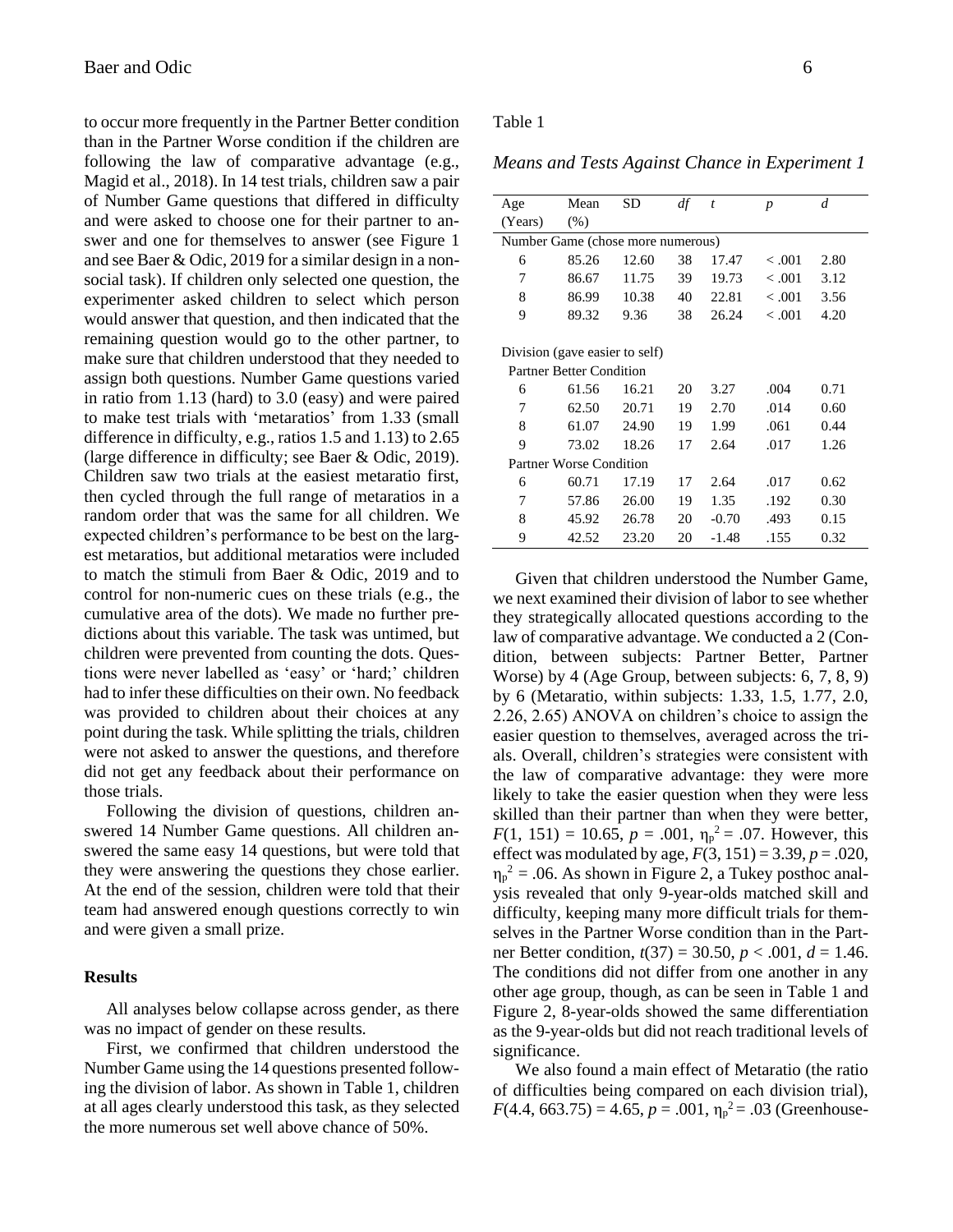to occur more frequently in the Partner Better condition than in the Partner Worse condition if the children are following the law of comparative advantage (e.g., Magid et al., 2018). In 14 test trials, children saw a pair of Number Game questions that differed in difficulty and were asked to choose one for their partner to answer and one for themselves to answer (see Figure 1 and see Baer & Odic, 2019 for a similar design in a nonsocial task). If children only selected one question, the experimenter asked children to select which person would answer that question, and then indicated that the remaining question would go to the other partner, to make sure that children understood that they needed to assign both questions. Number Game questions varied in ratio from 1.13 (hard) to 3.0 (easy) and were paired to make test trials with 'metaratios' from 1.33 (small difference in difficulty, e.g., ratios 1.5 and 1.13) to 2.65 (large difference in difficulty; see Baer & Odic, 2019). Children saw two trials at the easiest metaratio first, then cycled through the full range of metaratios in a random order that was the same for all children. We expected children's performance to be best on the largest metaratios, but additional metaratios were included to match the stimuli from Baer & Odic, 2019 and to control for non-numeric cues on these trials (e.g., the cumulative area of the dots). We made no further predictions about this variable. The task was untimed, but children were prevented from counting the dots. Questions were never labelled as 'easy' or 'hard;' children had to infer these difficulties on their own. No feedback was provided to children about their choices at any point during the task. While splitting the trials, children were not asked to answer the questions, and therefore did not get any feedback about their performance on those trials.

Following the division of questions, children answered 14 Number Game questions. All children answered the same easy 14 questions, but were told that they were answering the questions they chose earlier. At the end of the session, children were told that their team had answered enough questions correctly to win and were given a small prize.

# **Results**

All analyses below collapse across gender, as there was no impact of gender on these results.

First, we confirmed that children understood the Number Game using the 14 questions presented following the division of labor. As shown in Table 1, children at all ages clearly understood this task, as they selected the more numerous set well above chance of 50%.

# Table 1

*Means and Tests Against Chance in Experiment 1*

| Age                               | Mean  | SD    | df | $\bar{t}$ | $\boldsymbol{p}$ | $\overline{d}$ |  |  |
|-----------------------------------|-------|-------|----|-----------|------------------|----------------|--|--|
| (Years)                           | (% )  |       |    |           |                  |                |  |  |
| Number Game (chose more numerous) |       |       |    |           |                  |                |  |  |
| 6                                 | 85.26 | 12.60 | 38 | 17.47     | < 0.001          | 2.80           |  |  |
| 7                                 | 86.67 | 11.75 | 39 | 19.73     | < 0.001          | 3.12           |  |  |
| 8                                 | 86.99 | 10.38 | 40 | 22.81     | < 0.001          | 3.56           |  |  |
| 9                                 | 89.32 | 9.36  | 38 | 26.24     | < 0.001          | 4.20           |  |  |
|                                   |       |       |    |           |                  |                |  |  |
| Division (gave easier to self)    |       |       |    |           |                  |                |  |  |
| <b>Partner Better Condition</b>   |       |       |    |           |                  |                |  |  |
| 6                                 | 61.56 | 16.21 | 20 | 3.27      | .004             | 0.71           |  |  |
| 7                                 | 62.50 | 20.71 | 19 | 2.70      | .014             | 0.60           |  |  |
| 8                                 | 61.07 | 24.90 | 19 | 1.99      | .061             | 0.44           |  |  |
| 9                                 | 73.02 | 18.26 | 17 | 2.64      | .017             | 1.26           |  |  |
| Partner Worse Condition           |       |       |    |           |                  |                |  |  |
| 6                                 | 60.71 | 17.19 | 17 | 2.64      | .017             | 0.62           |  |  |
| 7                                 | 57.86 | 26.00 | 19 | 1.35      | .192             | 0.30           |  |  |
| 8                                 | 45.92 | 26.78 | 20 | $-0.70$   | .493             | 0.15           |  |  |
| 9                                 | 42.52 | 23.20 | 20 | $-1.48$   | .155             | 0.32           |  |  |

Given that children understood the Number Game, we next examined their division of labor to see whether they strategically allocated questions according to the law of comparative advantage. We conducted a 2 (Condition, between subjects: Partner Better, Partner Worse) by 4 (Age Group, between subjects: 6, 7, 8, 9) by 6 (Metaratio, within subjects: 1.33, 1.5, 1.77, 2.0, 2.26, 2.65) ANOVA on children's choice to assign the easier question to themselves, averaged across the trials. Overall, children's strategies were consistent with the law of comparative advantage: they were more likely to take the easier question when they were less skilled than their partner than when they were better,  $F(1, 151) = 10.65, p = .001, \eta_p^2 = .07$ . However, this effect was modulated by age,  $F(3, 151) = 3.39, p = .020$ ,  $\eta_p^2$  = .06. As shown in Figure 2, a Tukey posthoc analysis revealed that only 9-year-olds matched skill and difficulty, keeping many more difficult trials for themselves in the Partner Worse condition than in the Partner Better condition, *t*(37) = 30.50, *p* < .001, *d* = 1.46. The conditions did not differ from one another in any other age group, though, as can be seen in Table 1 and Figure 2, 8-year-olds showed the same differentiation as the 9-year-olds but did not reach traditional levels of significance.

We also found a main effect of Metaratio (the ratio of difficulties being compared on each division trial),  $F(4.4, 663.75) = 4.65, p = .001, \eta_p^2 = .03$  (Greenhouse-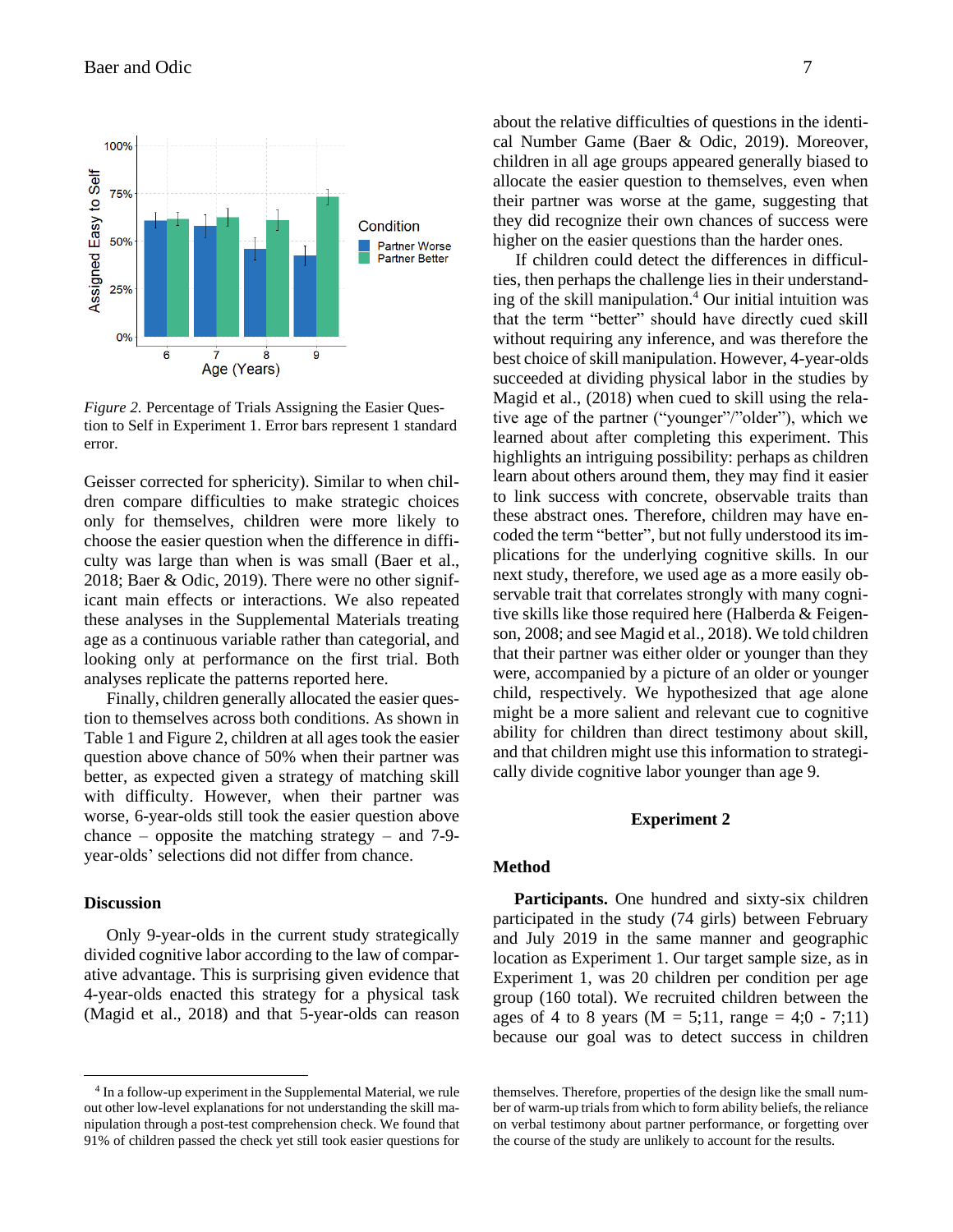

*Figure 2.* Percentage of Trials Assigning the Easier Question to Self in Experiment 1. Error bars represent 1 standard error.

Geisser corrected for sphericity). Similar to when children compare difficulties to make strategic choices only for themselves, children were more likely to choose the easier question when the difference in difficulty was large than when is was small (Baer et al., 2018; Baer & Odic, 2019). There were no other significant main effects or interactions. We also repeated these analyses in the Supplemental Materials treating age as a continuous variable rather than categorial, and looking only at performance on the first trial. Both analyses replicate the patterns reported here.

Finally, children generally allocated the easier question to themselves across both conditions. As shown in Table 1 and Figure 2, children at all ages took the easier question above chance of 50% when their partner was better, as expected given a strategy of matching skill with difficulty. However, when their partner was worse, 6-year-olds still took the easier question above chance – opposite the matching strategy – and  $7-9$ year-olds' selections did not differ from chance.

#### **Discussion**

Only 9-year-olds in the current study strategically divided cognitive labor according to the law of comparative advantage. This is surprising given evidence that 4-year-olds enacted this strategy for a physical task (Magid et al., 2018) and that 5-year-olds can reason about the relative difficulties of questions in the identical Number Game (Baer & Odic, 2019). Moreover, children in all age groups appeared generally biased to allocate the easier question to themselves, even when their partner was worse at the game, suggesting that they did recognize their own chances of success were higher on the easier questions than the harder ones.

If children could detect the differences in difficulties, then perhaps the challenge lies in their understanding of the skill manipulation.<sup>4</sup> Our initial intuition was that the term "better" should have directly cued skill without requiring any inference, and was therefore the best choice of skill manipulation. However, 4-year-olds succeeded at dividing physical labor in the studies by Magid et al., (2018) when cued to skill using the relative age of the partner ("younger"/"older"), which we learned about after completing this experiment. This highlights an intriguing possibility: perhaps as children learn about others around them, they may find it easier to link success with concrete, observable traits than these abstract ones. Therefore, children may have encoded the term "better", but not fully understood its implications for the underlying cognitive skills. In our next study, therefore, we used age as a more easily observable trait that correlates strongly with many cognitive skills like those required here (Halberda & Feigenson, 2008; and see Magid et al., 2018). We told children that their partner was either older or younger than they were, accompanied by a picture of an older or younger child, respectively. We hypothesized that age alone might be a more salient and relevant cue to cognitive ability for children than direct testimony about skill, and that children might use this information to strategically divide cognitive labor younger than age 9.

# **Experiment 2**

# **Method**

**Participants.** One hundred and sixty-six children participated in the study (74 girls) between February and July 2019 in the same manner and geographic location as Experiment 1. Our target sample size, as in Experiment 1, was 20 children per condition per age group (160 total). We recruited children between the ages of 4 to 8 years ( $M = 5;11$ , range = 4;0 - 7;11) because our goal was to detect success in children

<sup>4</sup> In a follow-up experiment in the Supplemental Material, we rule out other low-level explanations for not understanding the skill manipulation through a post-test comprehension check. We found that 91% of children passed the check yet still took easier questions for

themselves. Therefore, properties of the design like the small number of warm-up trials from which to form ability beliefs, the reliance on verbal testimony about partner performance, or forgetting over the course of the study are unlikely to account for the results.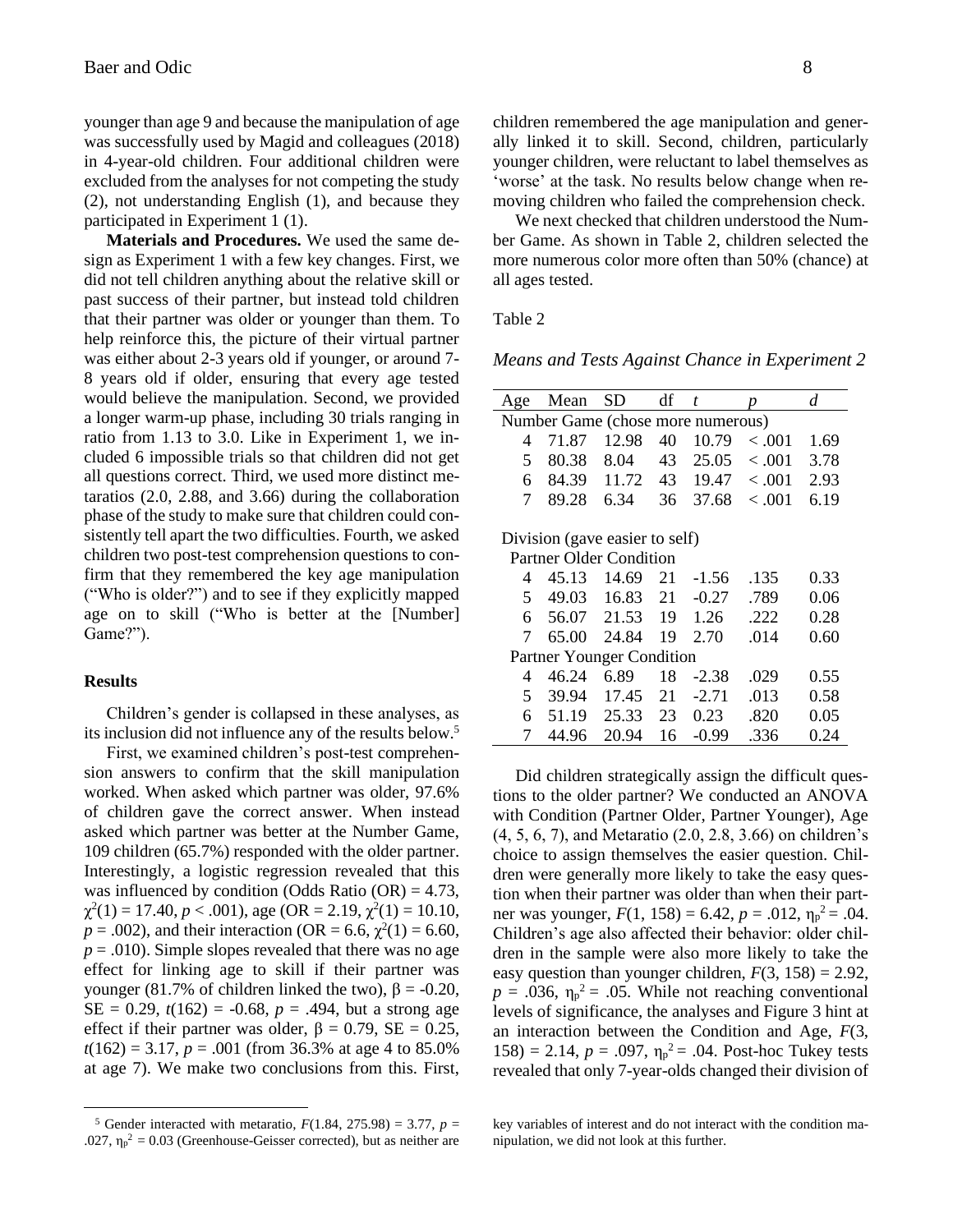younger than age 9 and because the manipulation of age was successfully used by Magid and colleagues (2018) in 4-year-old children. Four additional children were excluded from the analyses for not competing the study (2), not understanding English (1), and because they participated in Experiment 1 (1).

**Materials and Procedures.** We used the same design as Experiment 1 with a few key changes. First, we did not tell children anything about the relative skill or past success of their partner, but instead told children that their partner was older or younger than them. To help reinforce this, the picture of their virtual partner was either about 2-3 years old if younger, or around 7- 8 years old if older, ensuring that every age tested would believe the manipulation. Second, we provided a longer warm-up phase, including 30 trials ranging in ratio from 1.13 to 3.0. Like in Experiment 1, we included 6 impossible trials so that children did not get all questions correct. Third, we used more distinct metaratios (2.0, 2.88, and 3.66) during the collaboration phase of the study to make sure that children could consistently tell apart the two difficulties. Fourth, we asked children two post-test comprehension questions to confirm that they remembered the key age manipulation ("Who is older?") and to see if they explicitly mapped age on to skill ("Who is better at the [Number] Game?").

## **Results**

Children's gender is collapsed in these analyses, as its inclusion did not influence any of the results below.<sup>5</sup>

First, we examined children's post-test comprehension answers to confirm that the skill manipulation worked. When asked which partner was older, 97.6% of children gave the correct answer. When instead asked which partner was better at the Number Game, 109 children (65.7%) responded with the older partner. Interestingly, a logistic regression revealed that this was influenced by condition (Odds Ratio  $(OR) = 4.73$ ,  $\chi^2(1) = 17.40, p < .001$ ), age (OR = 2.19,  $\chi^2(1) = 10.10$ ,  $p = .002$ ), and their interaction (OR = 6.6,  $\chi^2(1) = 6.60$ ,  $p = .010$ ). Simple slopes revealed that there was no age effect for linking age to skill if their partner was younger (81.7% of children linked the two),  $β = -0.20$ ,  $SE = 0.29$ ,  $t(162) = -0.68$ ,  $p = .494$ , but a strong age effect if their partner was older,  $\beta = 0.79$ , SE = 0.25, *t*(162) = 3.17, *p* = .001 (from 36.3% at age 4 to 85.0% at age 7). We make two conclusions from this. First,

children remembered the age manipulation and generally linked it to skill. Second, children, particularly younger children, were reluctant to label themselves as 'worse' at the task. No results below change when removing children who failed the comprehension check.

We next checked that children understood the Number Game. As shown in Table 2, children selected the more numerous color more often than 50% (chance) at all ages tested.

Table 2

*Means and Tests Against Chance in Experiment 2*

| Age                               | Mean  | SD    | df | t       |         | d    |  |
|-----------------------------------|-------|-------|----|---------|---------|------|--|
| Number Game (chose more numerous) |       |       |    |         |         |      |  |
| 4                                 | 71.87 | 12.98 | 40 | 10.79   | < 0.01  | 1.69 |  |
| 5                                 | 80.38 | 8.04  | 43 | 25.05   | <.001   | 3.78 |  |
| 6                                 | 84.39 | 11.72 | 43 | 19.47   | < 0.001 | 2.93 |  |
| 7                                 | 89.28 | 6.34  | 36 | 37.68   | <.001   | 6.19 |  |
|                                   |       |       |    |         |         |      |  |
| Division (gave easier to self)    |       |       |    |         |         |      |  |
| Partner Older Condition           |       |       |    |         |         |      |  |
| 4                                 | 45.13 | 14.69 | 21 | $-1.56$ | .135    | 0.33 |  |
| 5                                 | 49.03 | 16.83 | 21 | $-0.27$ | .789    | 0.06 |  |
| 6                                 | 56.07 | 21.53 | 19 | 1.26    | .222    | 0.28 |  |
| 7                                 | 65.00 | 24.84 | 19 | 2.70    | .014    | 0.60 |  |
| <b>Partner Younger Condition</b>  |       |       |    |         |         |      |  |
| 4                                 | 46.24 | 6.89  | 18 | $-2.38$ | .029    | 0.55 |  |
| 5                                 | 39.94 | 17.45 | 21 | $-2.71$ | .013    | 0.58 |  |
| 6                                 | 51.19 | 25.33 | 23 | 0.23    | .820    | 0.05 |  |
| 7                                 | 44.96 | 20.94 | 16 | $-0.99$ | .336    | 0.24 |  |

Did children strategically assign the difficult questions to the older partner? We conducted an ANOVA with Condition (Partner Older, Partner Younger), Age (4, 5, 6, 7), and Metaratio (2.0, 2.8, 3.66) on children's choice to assign themselves the easier question. Children were generally more likely to take the easy question when their partner was older than when their partner was younger,  $F(1, 158) = 6.42$ ,  $p = .012$ ,  $\eta_p^2 = .04$ . Children's age also affected their behavior: older children in the sample were also more likely to take the easy question than younger children,  $F(3, 158) = 2.92$ ,  $p = .036$ ,  $\eta_p^2 = .05$ . While not reaching conventional levels of significance, the analyses and Figure 3 hint at an interaction between the Condition and Age, *F*(3, 158) = 2.14,  $p = .097$ ,  $\eta_p^2 = .04$ . Post-hoc Tukey tests revealed that only 7-year-olds changed their division of

<sup>&</sup>lt;sup>5</sup> Gender interacted with metaratio,  $F(1.84, 275.98) = 3.77$ ,  $p =$ .027,  $\eta_p^2 = 0.03$  (Greenhouse-Geisser corrected), but as neither are

key variables of interest and do not interact with the condition manipulation, we did not look at this further.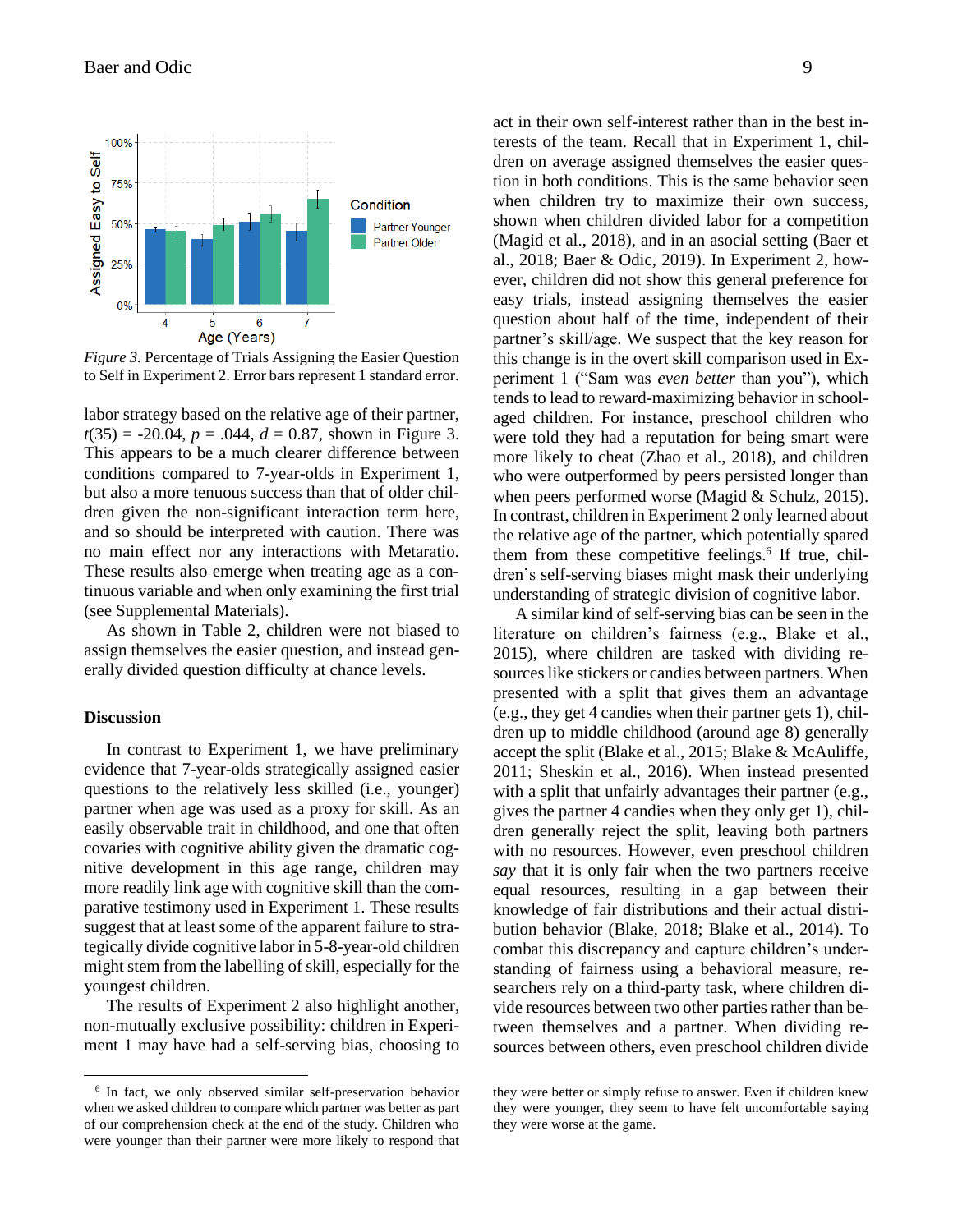

*Figure 3.* Percentage of Trials Assigning the Easier Question to Self in Experiment 2. Error bars represent 1 standard error.

labor strategy based on the relative age of their partner,  $t(35) = -20.04$ ,  $p = .044$ ,  $d = 0.87$ , shown in Figure 3. This appears to be a much clearer difference between conditions compared to 7-year-olds in Experiment 1, but also a more tenuous success than that of older children given the non-significant interaction term here, and so should be interpreted with caution. There was no main effect nor any interactions with Metaratio. These results also emerge when treating age as a continuous variable and when only examining the first trial (see Supplemental Materials).

As shown in Table 2, children were not biased to assign themselves the easier question, and instead generally divided question difficulty at chance levels.

## **Discussion**

In contrast to Experiment 1, we have preliminary evidence that 7-year-olds strategically assigned easier questions to the relatively less skilled (i.e., younger) partner when age was used as a proxy for skill. As an easily observable trait in childhood, and one that often covaries with cognitive ability given the dramatic cognitive development in this age range, children may more readily link age with cognitive skill than the comparative testimony used in Experiment 1. These results suggest that at least some of the apparent failure to strategically divide cognitive labor in 5-8-year-old children might stem from the labelling of skill, especially for the youngest children.

The results of Experiment 2 also highlight another, non-mutually exclusive possibility: children in Experiment 1 may have had a self-serving bias, choosing to act in their own self-interest rather than in the best interests of the team. Recall that in Experiment 1, children on average assigned themselves the easier question in both conditions. This is the same behavior seen when children try to maximize their own success, shown when children divided labor for a competition (Magid et al., 2018), and in an asocial setting (Baer et al., 2018; Baer & Odic, 2019). In Experiment 2, however, children did not show this general preference for easy trials, instead assigning themselves the easier question about half of the time, independent of their partner's skill/age. We suspect that the key reason for this change is in the overt skill comparison used in Experiment 1 ("Sam was *even better* than you"), which tends to lead to reward-maximizing behavior in schoolaged children. For instance, preschool children who were told they had a reputation for being smart were more likely to cheat (Zhao et al., 2018), and children who were outperformed by peers persisted longer than when peers performed worse (Magid & Schulz, 2015). In contrast, children in Experiment 2 only learned about the relative age of the partner, which potentially spared them from these competitive feelings.<sup>6</sup> If true, children's self-serving biases might mask their underlying understanding of strategic division of cognitive labor.

A similar kind of self-serving bias can be seen in the literature on children's fairness (e.g., Blake et al., 2015), where children are tasked with dividing resources like stickers or candies between partners. When presented with a split that gives them an advantage (e.g., they get 4 candies when their partner gets 1), children up to middle childhood (around age 8) generally accept the split (Blake et al., 2015; Blake & McAuliffe, 2011; Sheskin et al., 2016). When instead presented with a split that unfairly advantages their partner (e.g., gives the partner 4 candies when they only get 1), children generally reject the split, leaving both partners with no resources. However, even preschool children *say* that it is only fair when the two partners receive equal resources, resulting in a gap between their knowledge of fair distributions and their actual distribution behavior (Blake, 2018; Blake et al., 2014). To combat this discrepancy and capture children's understanding of fairness using a behavioral measure, researchers rely on a third-party task, where children divide resources between two other parties rather than between themselves and a partner. When dividing resources between others, even preschool children divide

<sup>&</sup>lt;sup>6</sup> In fact, we only observed similar self-preservation behavior when we asked children to compare which partner was better as part of our comprehension check at the end of the study. Children who were younger than their partner were more likely to respond that

they were better or simply refuse to answer. Even if children knew they were younger, they seem to have felt uncomfortable saying they were worse at the game.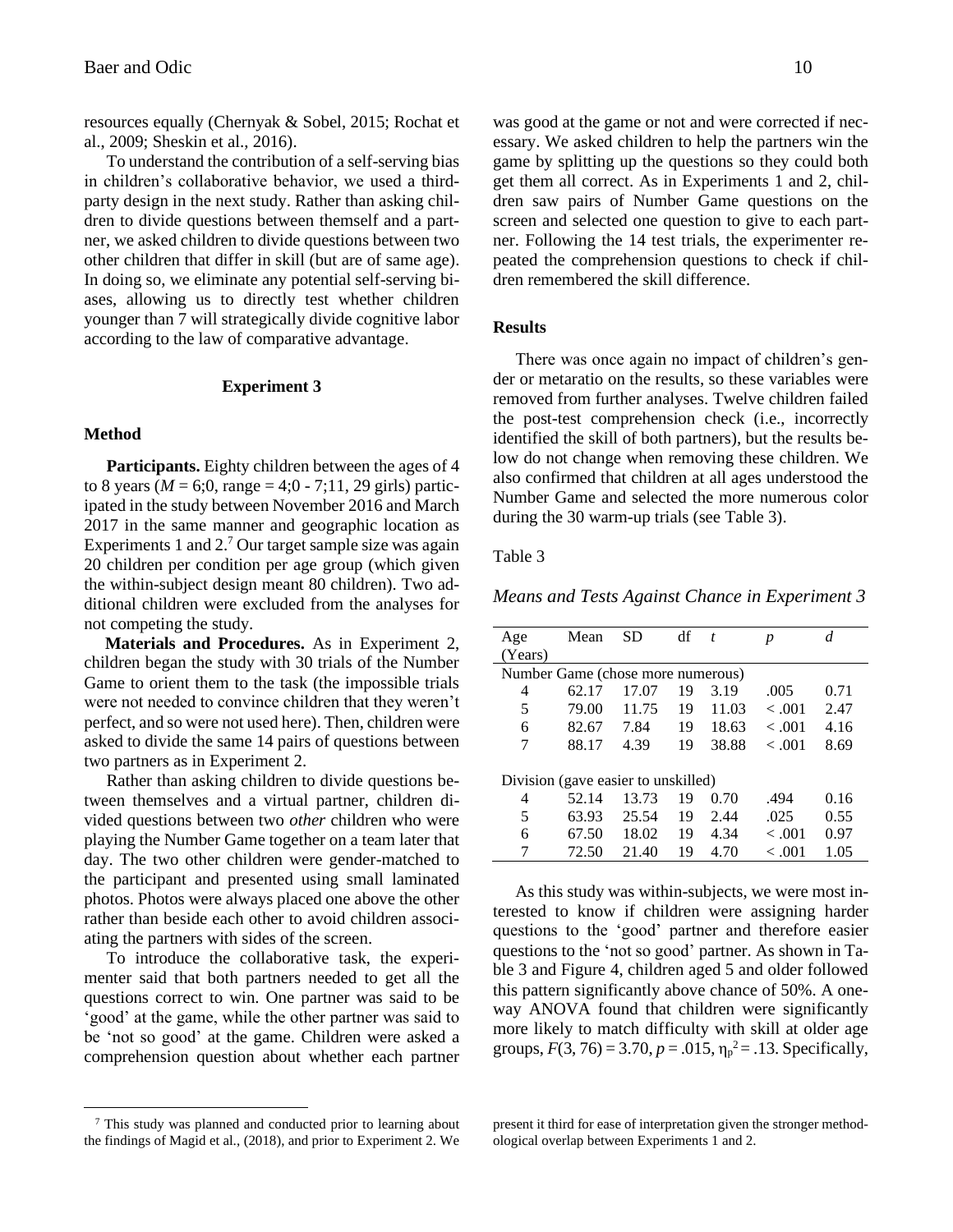resources equally (Chernyak & Sobel, 2015; Rochat et al., 2009; Sheskin et al., 2016).

To understand the contribution of a self-serving bias in children's collaborative behavior, we used a thirdparty design in the next study. Rather than asking children to divide questions between themself and a partner, we asked children to divide questions between two other children that differ in skill (but are of same age). In doing so, we eliminate any potential self-serving biases, allowing us to directly test whether children younger than 7 will strategically divide cognitive labor according to the law of comparative advantage.

### **Experiment 3**

# **Method**

**Participants.** Eighty children between the ages of 4 to 8 years ( $M = 6;0$ , range = 4;0 - 7;11, 29 girls) participated in the study between November 2016 and March 2017 in the same manner and geographic location as Experiments 1 and 2.<sup>7</sup> Our target sample size was again 20 children per condition per age group (which given the within-subject design meant 80 children). Two additional children were excluded from the analyses for not competing the study.

**Materials and Procedures.** As in Experiment 2, children began the study with 30 trials of the Number Game to orient them to the task (the impossible trials were not needed to convince children that they weren't perfect, and so were not used here). Then, children were asked to divide the same 14 pairs of questions between two partners as in Experiment 2.

Rather than asking children to divide questions between themselves and a virtual partner, children divided questions between two *other* children who were playing the Number Game together on a team later that day. The two other children were gender-matched to the participant and presented using small laminated photos. Photos were always placed one above the other rather than beside each other to avoid children associating the partners with sides of the screen.

To introduce the collaborative task, the experimenter said that both partners needed to get all the questions correct to win. One partner was said to be 'good' at the game, while the other partner was said to be 'not so good' at the game. Children were asked a comprehension question about whether each partner

<sup>7</sup> This study was planned and conducted prior to learning about the findings of Magid et al., (2018), and prior to Experiment 2. We was good at the game or not and were corrected if necessary. We asked children to help the partners win the game by splitting up the questions so they could both get them all correct. As in Experiments 1 and 2, children saw pairs of Number Game questions on the screen and selected one question to give to each partner. Following the 14 test trials, the experimenter repeated the comprehension questions to check if children remembered the skill difference.

### **Results**

There was once again no impact of children's gender or metaratio on the results, so these variables were removed from further analyses. Twelve children failed the post-test comprehension check (i.e., incorrectly identified the skill of both partners), but the results below do not change when removing these children. We also confirmed that children at all ages understood the Number Game and selected the more numerous color during the 30 warm-up trials (see Table 3).

# Table 3

*Means and Tests Against Chance in Experiment 3*

| Age                                 | Mean  | SD    | df | $\boldsymbol{t}$ | p       | d    |  |
|-------------------------------------|-------|-------|----|------------------|---------|------|--|
| (Years)                             |       |       |    |                  |         |      |  |
| Number Game (chose more numerous)   |       |       |    |                  |         |      |  |
| 4                                   | 62.17 | 17.07 | 19 | 3.19             | .005    | 0.71 |  |
| 5                                   | 79.00 | 11.75 | 19 | 11.03            | $-.001$ | 2.47 |  |
| 6                                   | 82.67 | 7.84  | 19 | 18.63            | $-.001$ | 4.16 |  |
| 7                                   | 88.17 | 4.39  | 19 | 38.88            | $-.001$ | 8.69 |  |
|                                     |       |       |    |                  |         |      |  |
| Division (gave easier to unskilled) |       |       |    |                  |         |      |  |
| 4                                   | 52.14 | 13.73 | 19 | 0.70             | .494    | 0.16 |  |
| 5                                   | 63.93 | 25.54 | 19 | 2.44             | .025    | 0.55 |  |
| 6                                   | 67.50 | 18.02 | 19 | 4.34             | $-.001$ | 0.97 |  |
| 7                                   | 72.50 | 21.40 | 19 | 4.70             | < 0.001 | 1.05 |  |

As this study was within-subjects, we were most interested to know if children were assigning harder questions to the 'good' partner and therefore easier questions to the 'not so good' partner. As shown in Table 3 and Figure 4, children aged 5 and older followed this pattern significantly above chance of 50%. A oneway ANOVA found that children were significantly more likely to match difficulty with skill at older age groups,  $F(3, 76) = 3.70$ ,  $p = .015$ ,  $\eta_p^2 = .13$ . Specifically,

present it third for ease of interpretation given the stronger methodological overlap between Experiments 1 and 2.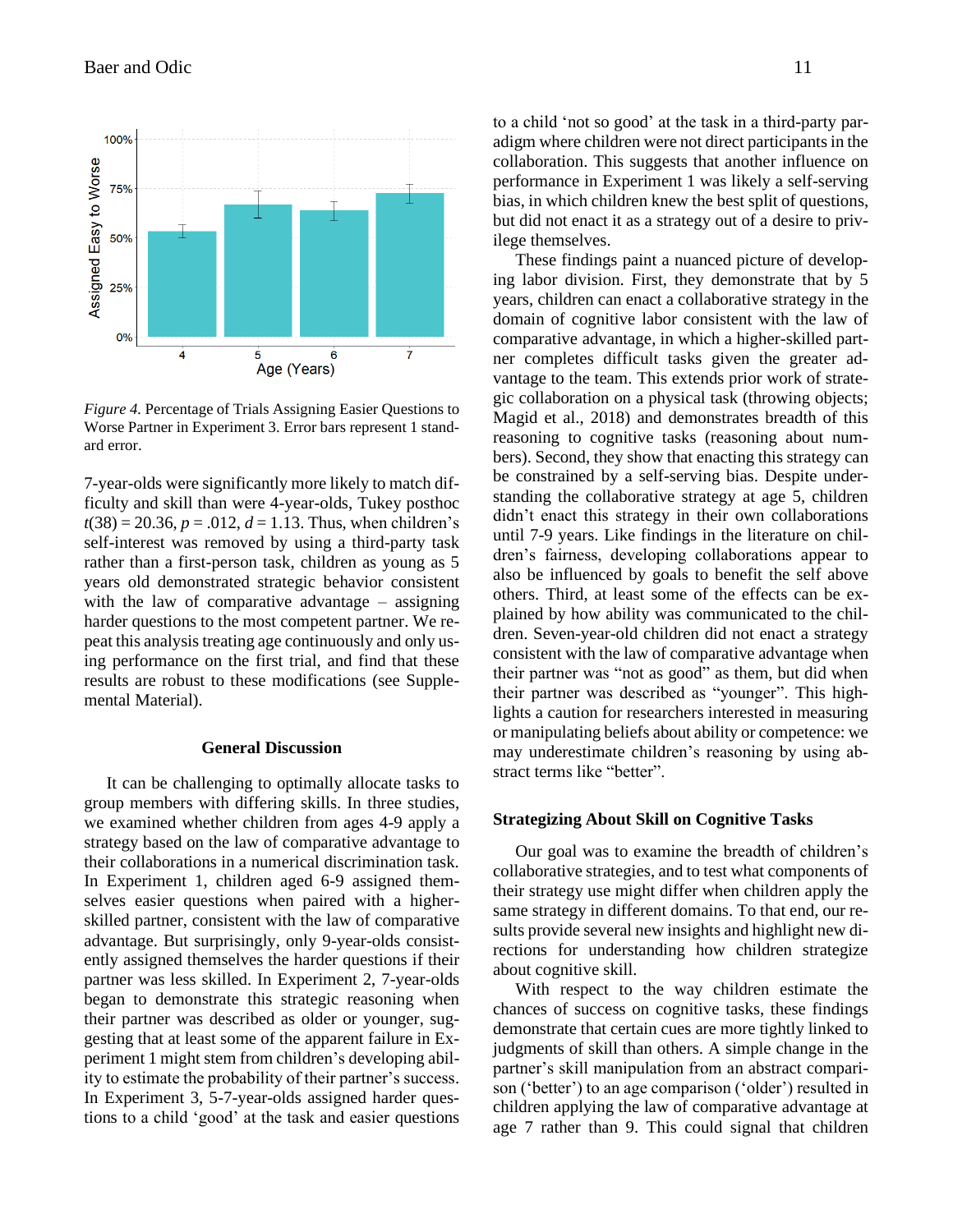

*Figure 4.* Percentage of Trials Assigning Easier Questions to Worse Partner in Experiment 3. Error bars represent 1 standard error.

7-year-olds were significantly more likely to match difficulty and skill than were 4-year-olds, Tukey posthoc  $t(38) = 20.36, p = .012, d = 1.13$ . Thus, when children's self-interest was removed by using a third-party task rather than a first-person task, children as young as 5 years old demonstrated strategic behavior consistent with the law of comparative advantage – assigning harder questions to the most competent partner. We repeat this analysis treating age continuously and only using performance on the first trial, and find that these results are robust to these modifications (see Supplemental Material).

# **General Discussion**

It can be challenging to optimally allocate tasks to group members with differing skills. In three studies, we examined whether children from ages 4-9 apply a strategy based on the law of comparative advantage to their collaborations in a numerical discrimination task. In Experiment 1, children aged 6-9 assigned themselves easier questions when paired with a higherskilled partner, consistent with the law of comparative advantage. But surprisingly, only 9-year-olds consistently assigned themselves the harder questions if their partner was less skilled. In Experiment 2, 7-year-olds began to demonstrate this strategic reasoning when their partner was described as older or younger, suggesting that at least some of the apparent failure in Experiment 1 might stem from children's developing ability to estimate the probability of their partner's success. In Experiment 3, 5-7-year-olds assigned harder questions to a child 'good' at the task and easier questions to a child 'not so good' at the task in a third-party paradigm where children were not direct participants in the collaboration. This suggests that another influence on performance in Experiment 1 was likely a self-serving bias, in which children knew the best split of questions, but did not enact it as a strategy out of a desire to privilege themselves.

These findings paint a nuanced picture of developing labor division. First, they demonstrate that by 5 years, children can enact a collaborative strategy in the domain of cognitive labor consistent with the law of comparative advantage, in which a higher-skilled partner completes difficult tasks given the greater advantage to the team. This extends prior work of strategic collaboration on a physical task (throwing objects; Magid et al., 2018) and demonstrates breadth of this reasoning to cognitive tasks (reasoning about numbers). Second, they show that enacting this strategy can be constrained by a self-serving bias. Despite understanding the collaborative strategy at age 5, children didn't enact this strategy in their own collaborations until 7-9 years. Like findings in the literature on children's fairness, developing collaborations appear to also be influenced by goals to benefit the self above others. Third, at least some of the effects can be explained by how ability was communicated to the children. Seven-year-old children did not enact a strategy consistent with the law of comparative advantage when their partner was "not as good" as them, but did when their partner was described as "younger". This highlights a caution for researchers interested in measuring or manipulating beliefs about ability or competence: we may underestimate children's reasoning by using abstract terms like "better".

## **Strategizing About Skill on Cognitive Tasks**

Our goal was to examine the breadth of children's collaborative strategies, and to test what components of their strategy use might differ when children apply the same strategy in different domains. To that end, our results provide several new insights and highlight new directions for understanding how children strategize about cognitive skill.

With respect to the way children estimate the chances of success on cognitive tasks, these findings demonstrate that certain cues are more tightly linked to judgments of skill than others. A simple change in the partner's skill manipulation from an abstract comparison ('better') to an age comparison ('older') resulted in children applying the law of comparative advantage at age 7 rather than 9. This could signal that children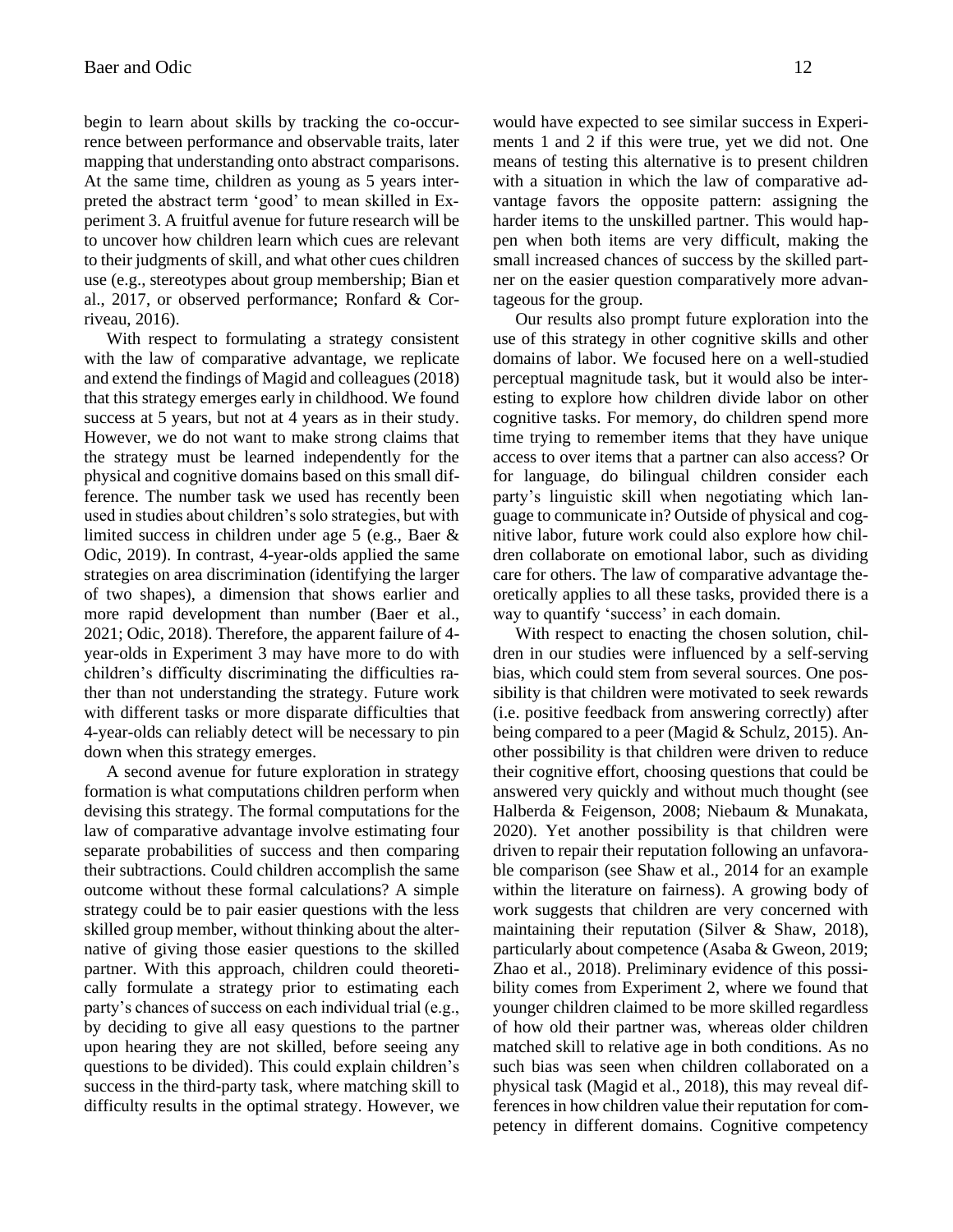begin to learn about skills by tracking the co-occurrence between performance and observable traits, later mapping that understanding onto abstract comparisons. At the same time, children as young as 5 years interpreted the abstract term 'good' to mean skilled in Experiment 3. A fruitful avenue for future research will be to uncover how children learn which cues are relevant to their judgments of skill, and what other cues children use (e.g., stereotypes about group membership; Bian et al., 2017, or observed performance; Ronfard & Corriveau, 2016).

With respect to formulating a strategy consistent with the law of comparative advantage, we replicate and extend the findings of Magid and colleagues (2018) that this strategy emerges early in childhood. We found success at 5 years, but not at 4 years as in their study. However, we do not want to make strong claims that the strategy must be learned independently for the physical and cognitive domains based on this small difference. The number task we used has recently been used in studies about children's solo strategies, but with limited success in children under age 5 (e.g., Baer & Odic, 2019). In contrast, 4-year-olds applied the same strategies on area discrimination (identifying the larger of two shapes), a dimension that shows earlier and more rapid development than number (Baer et al., 2021; Odic, 2018). Therefore, the apparent failure of 4 year-olds in Experiment 3 may have more to do with children's difficulty discriminating the difficulties rather than not understanding the strategy. Future work with different tasks or more disparate difficulties that 4-year-olds can reliably detect will be necessary to pin down when this strategy emerges.

A second avenue for future exploration in strategy formation is what computations children perform when devising this strategy. The formal computations for the law of comparative advantage involve estimating four separate probabilities of success and then comparing their subtractions. Could children accomplish the same outcome without these formal calculations? A simple strategy could be to pair easier questions with the less skilled group member, without thinking about the alternative of giving those easier questions to the skilled partner. With this approach, children could theoretically formulate a strategy prior to estimating each party's chances of success on each individual trial (e.g., by deciding to give all easy questions to the partner upon hearing they are not skilled, before seeing any questions to be divided). This could explain children's success in the third-party task, where matching skill to difficulty results in the optimal strategy. However, we would have expected to see similar success in Experiments 1 and 2 if this were true, yet we did not. One means of testing this alternative is to present children with a situation in which the law of comparative advantage favors the opposite pattern: assigning the harder items to the unskilled partner. This would happen when both items are very difficult, making the small increased chances of success by the skilled partner on the easier question comparatively more advantageous for the group.

Our results also prompt future exploration into the use of this strategy in other cognitive skills and other domains of labor. We focused here on a well-studied perceptual magnitude task, but it would also be interesting to explore how children divide labor on other cognitive tasks. For memory, do children spend more time trying to remember items that they have unique access to over items that a partner can also access? Or for language, do bilingual children consider each party's linguistic skill when negotiating which language to communicate in? Outside of physical and cognitive labor, future work could also explore how children collaborate on emotional labor, such as dividing care for others. The law of comparative advantage theoretically applies to all these tasks, provided there is a way to quantify 'success' in each domain.

With respect to enacting the chosen solution, children in our studies were influenced by a self-serving bias, which could stem from several sources. One possibility is that children were motivated to seek rewards (i.e. positive feedback from answering correctly) after being compared to a peer (Magid & Schulz, 2015). Another possibility is that children were driven to reduce their cognitive effort, choosing questions that could be answered very quickly and without much thought (see Halberda & Feigenson, 2008; Niebaum & Munakata, 2020). Yet another possibility is that children were driven to repair their reputation following an unfavorable comparison (see Shaw et al., 2014 for an example within the literature on fairness). A growing body of work suggests that children are very concerned with maintaining their reputation (Silver & Shaw, 2018), particularly about competence (Asaba & Gweon, 2019; Zhao et al., 2018). Preliminary evidence of this possibility comes from Experiment 2, where we found that younger children claimed to be more skilled regardless of how old their partner was, whereas older children matched skill to relative age in both conditions. As no such bias was seen when children collaborated on a physical task (Magid et al., 2018), this may reveal differences in how children value their reputation for competency in different domains. Cognitive competency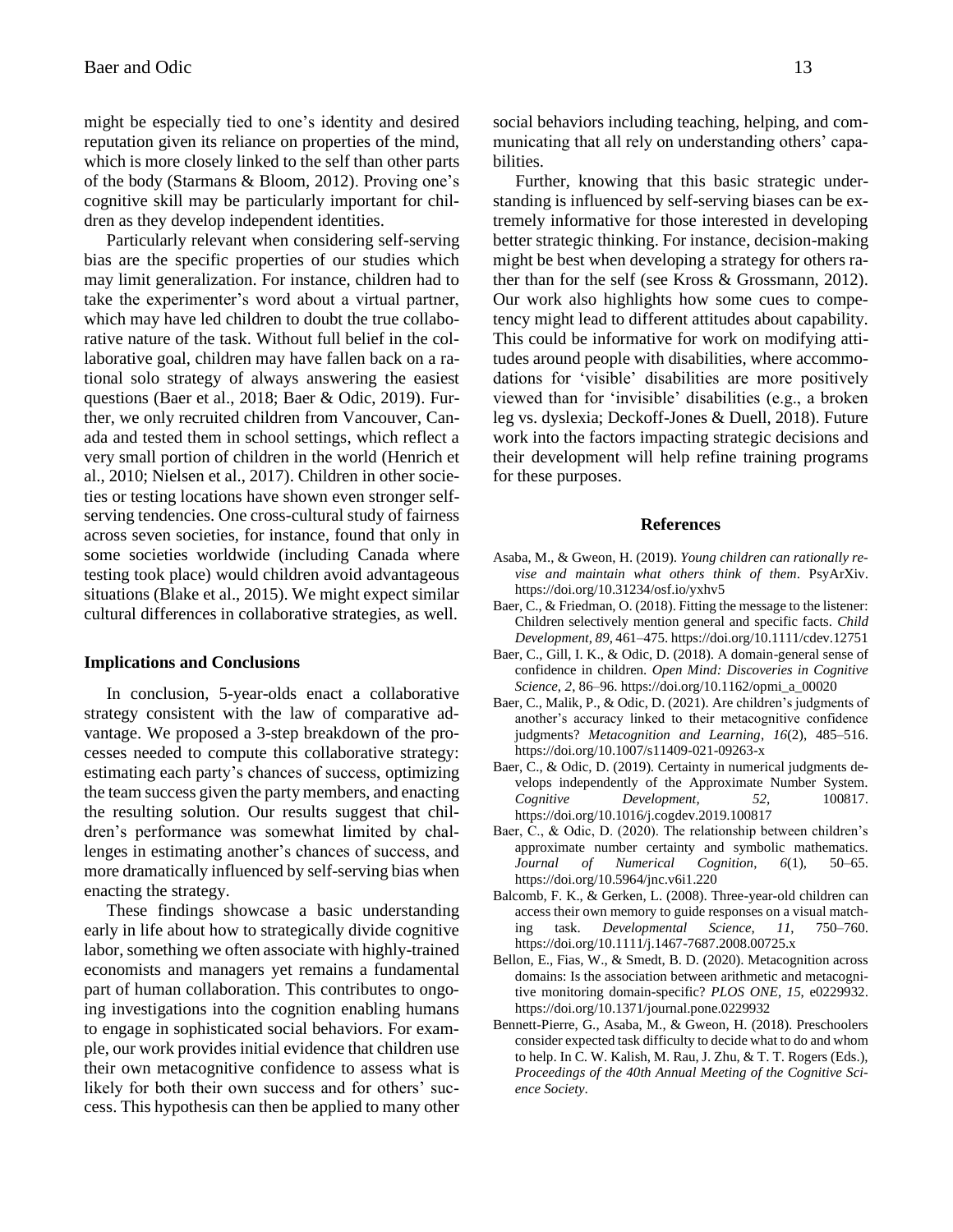might be especially tied to one's identity and desired reputation given its reliance on properties of the mind, which is more closely linked to the self than other parts of the body (Starmans & Bloom, 2012). Proving one's cognitive skill may be particularly important for children as they develop independent identities.

Particularly relevant when considering self-serving bias are the specific properties of our studies which may limit generalization. For instance, children had to take the experimenter's word about a virtual partner, which may have led children to doubt the true collaborative nature of the task. Without full belief in the collaborative goal, children may have fallen back on a rational solo strategy of always answering the easiest questions (Baer et al., 2018; Baer & Odic, 2019). Further, we only recruited children from Vancouver, Canada and tested them in school settings, which reflect a very small portion of children in the world (Henrich et al., 2010; Nielsen et al., 2017). Children in other societies or testing locations have shown even stronger selfserving tendencies. One cross-cultural study of fairness across seven societies, for instance, found that only in some societies worldwide (including Canada where testing took place) would children avoid advantageous situations (Blake et al., 2015). We might expect similar cultural differences in collaborative strategies, as well.

#### **Implications and Conclusions**

In conclusion, 5-year-olds enact a collaborative strategy consistent with the law of comparative advantage. We proposed a 3-step breakdown of the processes needed to compute this collaborative strategy: estimating each party's chances of success, optimizing the team success given the party members, and enacting the resulting solution. Our results suggest that children's performance was somewhat limited by challenges in estimating another's chances of success, and more dramatically influenced by self-serving bias when enacting the strategy.

These findings showcase a basic understanding early in life about how to strategically divide cognitive labor, something we often associate with highly-trained economists and managers yet remains a fundamental part of human collaboration. This contributes to ongoing investigations into the cognition enabling humans to engage in sophisticated social behaviors. For example, our work provides initial evidence that children use their own metacognitive confidence to assess what is likely for both their own success and for others' success. This hypothesis can then be applied to many other social behaviors including teaching, helping, and communicating that all rely on understanding others' capabilities.

Further, knowing that this basic strategic understanding is influenced by self-serving biases can be extremely informative for those interested in developing better strategic thinking. For instance, decision-making might be best when developing a strategy for others rather than for the self (see Kross & Grossmann, 2012). Our work also highlights how some cues to competency might lead to different attitudes about capability. This could be informative for work on modifying attitudes around people with disabilities, where accommodations for 'visible' disabilities are more positively viewed than for 'invisible' disabilities (e.g., a broken leg vs. dyslexia; Deckoff-Jones & Duell, 2018). Future work into the factors impacting strategic decisions and their development will help refine training programs for these purposes.

#### **References**

- Asaba, M., & Gweon, H. (2019). *Young children can rationally revise and maintain what others think of them*. PsyArXiv. https://doi.org/10.31234/osf.io/yxhv5
- Baer, C., & Friedman, O. (2018). Fitting the message to the listener: Children selectively mention general and specific facts. *Child Development*, *89*, 461–475. https://doi.org/10.1111/cdev.12751
- Baer, C., Gill, I. K., & Odic, D. (2018). A domain-general sense of confidence in children. *Open Mind: Discoveries in Cognitive Science*, *2*, 86–96. https://doi.org/10.1162/opmi\_a\_00020
- Baer, C., Malik, P., & Odic, D. (2021). Are children's judgments of another's accuracy linked to their metacognitive confidence judgments? *Metacognition and Learning*, *16*(2), 485–516. https://doi.org/10.1007/s11409-021-09263-x
- Baer, C., & Odic, D. (2019). Certainty in numerical judgments develops independently of the Approximate Number System. *Cognitive Development*, *52*, 100817. https://doi.org/10.1016/j.cogdev.2019.100817
- Baer, C., & Odic, D. (2020). The relationship between children's approximate number certainty and symbolic mathematics. *Journal of Numerical Cognition*, *6*(1), 50–65. https://doi.org/10.5964/jnc.v6i1.220
- Balcomb, F. K., & Gerken, L. (2008). Three-year-old children can access their own memory to guide responses on a visual matching task. *Developmental Science*, *11*, 750–760. https://doi.org/10.1111/j.1467-7687.2008.00725.x
- Bellon, E., Fias, W., & Smedt, B. D. (2020). Metacognition across domains: Is the association between arithmetic and metacognitive monitoring domain-specific? *PLOS ONE*, *15*, e0229932. https://doi.org/10.1371/journal.pone.0229932
- Bennett-Pierre, G., Asaba, M., & Gweon, H. (2018). Preschoolers consider expected task difficulty to decide what to do and whom to help. In C. W. Kalish, M. Rau, J. Zhu, & T. T. Rogers (Eds.), *Proceedings of the 40th Annual Meeting of the Cognitive Science Society*.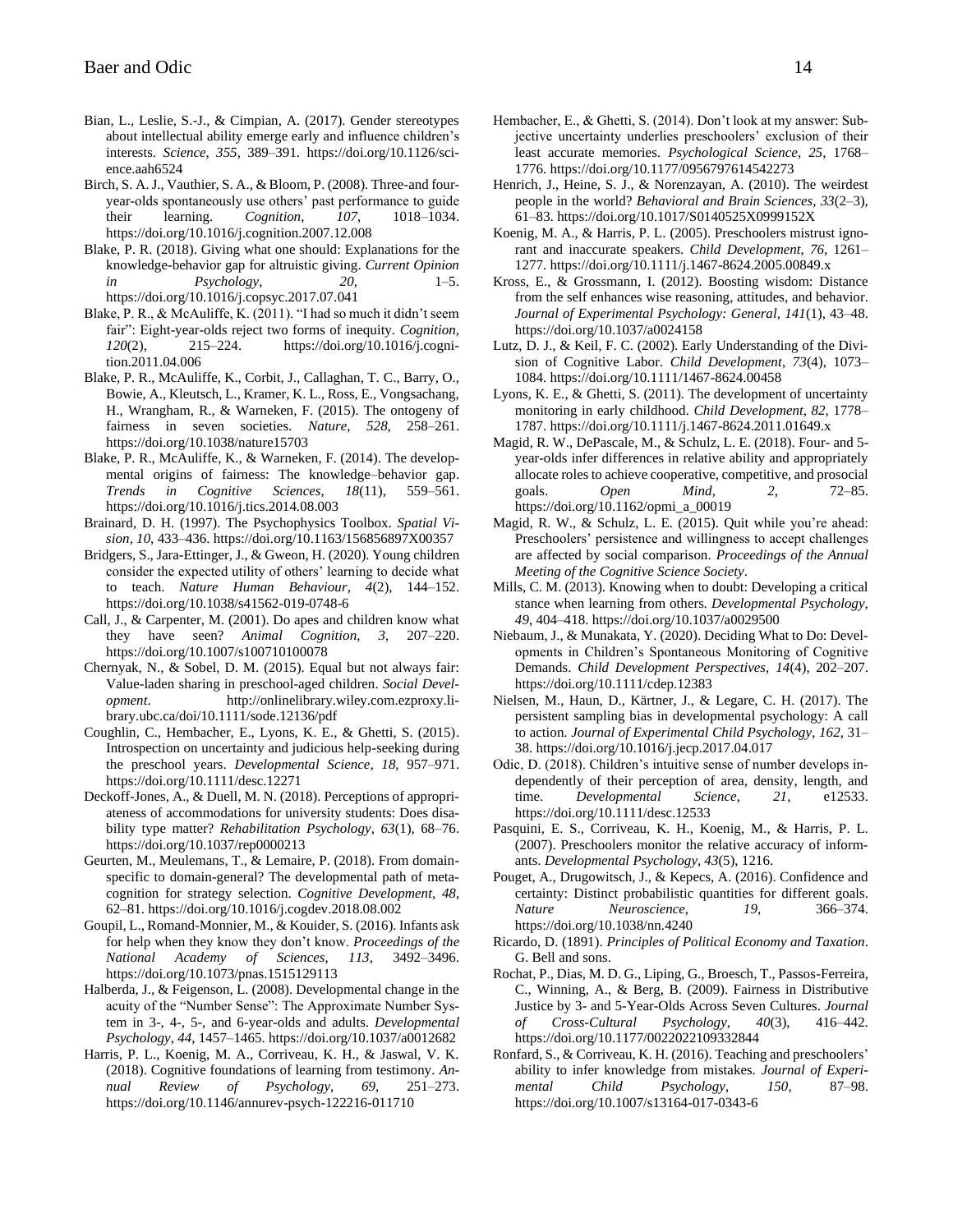- Bian, L., Leslie, S.-J., & Cimpian, A. (2017). Gender stereotypes about intellectual ability emerge early and influence children's interests. *Science*, *355*, 389–391. https://doi.org/10.1126/science.aah6524
- Birch, S. A. J., Vauthier, S. A., & Bloom, P. (2008). Three-and fouryear-olds spontaneously use others' past performance to guide their learning. *Cognition*, *107*, 1018–1034. https://doi.org/10.1016/j.cognition.2007.12.008
- Blake, P. R. (2018). Giving what one should: Explanations for the knowledge-behavior gap for altruistic giving. *Current Opinion in Psychology*, *20*, 1–5. https://doi.org/10.1016/j.copsyc.2017.07.041
- Blake, P. R., & McAuliffe, K. (2011). "I had so much it didn't seem fair": Eight-year-olds reject two forms of inequity. *Cognition*, *120*(2), 215–224. https://doi.org/10.1016/j.cognition.2011.04.006
- Blake, P. R., McAuliffe, K., Corbit, J., Callaghan, T. C., Barry, O., Bowie, A., Kleutsch, L., Kramer, K. L., Ross, E., Vongsachang, H., Wrangham, R., & Warneken, F. (2015). The ontogeny of fairness in seven societies. *Nature*, *528*, 258–261. https://doi.org/10.1038/nature15703
- Blake, P. R., McAuliffe, K., & Warneken, F. (2014). The developmental origins of fairness: The knowledge–behavior gap. *Trends in Cognitive Sciences*, *18*(11), 559–561. https://doi.org/10.1016/j.tics.2014.08.003
- Brainard, D. H. (1997). The Psychophysics Toolbox. *Spatial Vision*, *10*, 433–436. https://doi.org/10.1163/156856897X00357
- Bridgers, S., Jara-Ettinger, J., & Gweon, H. (2020). Young children consider the expected utility of others' learning to decide what to teach. *Nature Human Behaviour*, *4*(2), 144–152. https://doi.org/10.1038/s41562-019-0748-6
- Call, J., & Carpenter, M. (2001). Do apes and children know what they have seen? *Animal Cognition*, *3*, 207–220. https://doi.org/10.1007/s100710100078
- Chernyak, N., & Sobel, D. M. (2015). Equal but not always fair: Value-laden sharing in preschool-aged children. *Social Development*. http://onlinelibrary.wiley.com.ezproxy.library.ubc.ca/doi/10.1111/sode.12136/pdf
- Coughlin, C., Hembacher, E., Lyons, K. E., & Ghetti, S. (2015). Introspection on uncertainty and judicious help-seeking during the preschool years. *Developmental Science*, *18*, 957–971. https://doi.org/10.1111/desc.12271
- Deckoff-Jones, A., & Duell, M. N. (2018). Perceptions of appropriateness of accommodations for university students: Does disability type matter? *Rehabilitation Psychology*, *63*(1), 68–76. https://doi.org/10.1037/rep0000213
- Geurten, M., Meulemans, T., & Lemaire, P. (2018). From domainspecific to domain-general? The developmental path of metacognition for strategy selection. *Cognitive Development*, *48*, 62–81. https://doi.org/10.1016/j.cogdev.2018.08.002
- Goupil, L., Romand-Monnier, M., & Kouider, S. (2016). Infants ask for help when they know they don't know. *Proceedings of the National Academy of Sciences*, *113*, 3492–3496. https://doi.org/10.1073/pnas.1515129113
- Halberda, J., & Feigenson, L. (2008). Developmental change in the acuity of the "Number Sense": The Approximate Number System in 3-, 4-, 5-, and 6-year-olds and adults. *Developmental Psychology*, *44*, 1457–1465. https://doi.org/10.1037/a0012682
- Harris, P. L., Koenig, M. A., Corriveau, K. H., & Jaswal, V. K. (2018). Cognitive foundations of learning from testimony. *Annual Review of Psychology*, *69*, 251–273. https://doi.org/10.1146/annurev-psych-122216-011710
- Hembacher, E., & Ghetti, S. (2014). Don't look at my answer: Subjective uncertainty underlies preschoolers' exclusion of their least accurate memories. *Psychological Science*, *25*, 1768– 1776. https://doi.org/10.1177/0956797614542273
- Henrich, J., Heine, S. J., & Norenzayan, A. (2010). The weirdest people in the world? *Behavioral and Brain Sciences*, *33*(2–3), 61–83. https://doi.org/10.1017/S0140525X0999152X
- Koenig, M. A., & Harris, P. L. (2005). Preschoolers mistrust ignorant and inaccurate speakers. *Child Development*, *76*, 1261– 1277. https://doi.org/10.1111/j.1467-8624.2005.00849.x
- Kross, E., & Grossmann, I. (2012). Boosting wisdom: Distance from the self enhances wise reasoning, attitudes, and behavior. *Journal of Experimental Psychology: General*, *141*(1), 43–48. https://doi.org/10.1037/a0024158
- Lutz, D. J., & Keil, F. C. (2002). Early Understanding of the Division of Cognitive Labor. *Child Development*, *73*(4), 1073– 1084. https://doi.org/10.1111/1467-8624.00458
- Lyons, K. E., & Ghetti, S. (2011). The development of uncertainty monitoring in early childhood. *Child Development*, *82*, 1778– 1787. https://doi.org/10.1111/j.1467-8624.2011.01649.x
- Magid, R. W., DePascale, M., & Schulz, L. E. (2018). Four- and 5 year-olds infer differences in relative ability and appropriately allocate roles to achieve cooperative, competitive, and prosocial goals. *Open Mind*, *2*, 72–85. https://doi.org/10.1162/opmi\_a\_00019
- Magid, R. W., & Schulz, L. E. (2015). Quit while you're ahead: Preschoolers' persistence and willingness to accept challenges are affected by social comparison. *Proceedings of the Annual Meeting of the Cognitive Science Society*.
- Mills, C. M. (2013). Knowing when to doubt: Developing a critical stance when learning from others. *Developmental Psychology*, *49*, 404–418. https://doi.org/10.1037/a0029500
- Niebaum, J., & Munakata, Y. (2020). Deciding What to Do: Developments in Children's Spontaneous Monitoring of Cognitive Demands. *Child Development Perspectives*, *14*(4), 202–207. https://doi.org/10.1111/cdep.12383
- Nielsen, M., Haun, D., Kärtner, J., & Legare, C. H. (2017). The persistent sampling bias in developmental psychology: A call to action. *Journal of Experimental Child Psychology*, *162*, 31– 38. https://doi.org/10.1016/j.jecp.2017.04.017
- Odic, D. (2018). Children's intuitive sense of number develops independently of their perception of area, density, length, and time. *Developmental Science*, *21*, e12533. https://doi.org/10.1111/desc.12533
- Pasquini, E. S., Corriveau, K. H., Koenig, M., & Harris, P. L. (2007). Preschoolers monitor the relative accuracy of informants. *Developmental Psychology*, *43*(5), 1216.
- Pouget, A., Drugowitsch, J., & Kepecs, A. (2016). Confidence and certainty: Distinct probabilistic quantities for different goals. *Nature Neuroscience*, *19*, 366–374. https://doi.org/10.1038/nn.4240
- Ricardo, D. (1891). *Principles of Political Economy and Taxation*. G. Bell and sons.
- Rochat, P., Dias, M. D. G., Liping, G., Broesch, T., Passos-Ferreira, C., Winning, A., & Berg, B. (2009). Fairness in Distributive Justice by 3- and 5-Year-Olds Across Seven Cultures. *Journal of Cross-Cultural Psychology*, *40*(3), 416–442. https://doi.org/10.1177/0022022109332844
- Ronfard, S., & Corriveau, K. H. (2016). Teaching and preschoolers' ability to infer knowledge from mistakes. *Journal of Experimental Child Psychology*, *150*, 87–98. https://doi.org/10.1007/s13164-017-0343-6